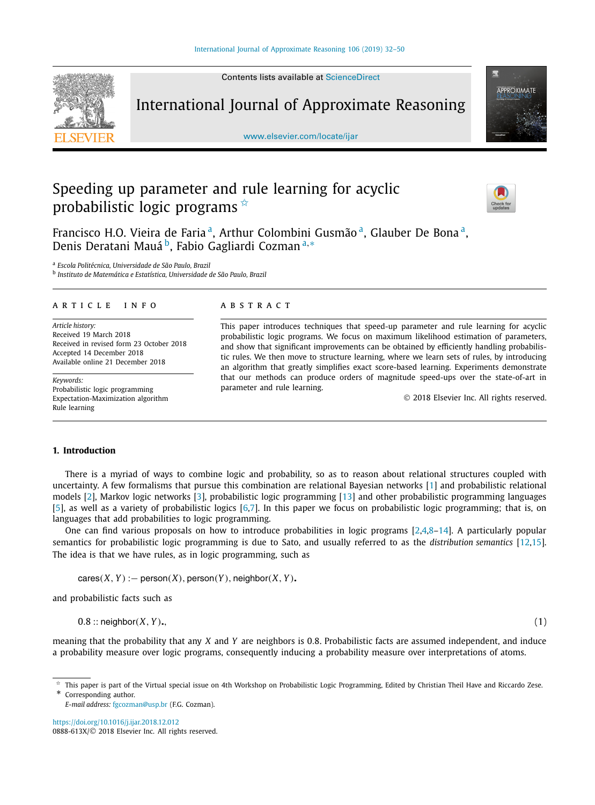Contents lists available at [ScienceDirect](http://www.ScienceDirect.com/)

<span id="page-0-0"></span>

International Journal of Approximate Reasoning

[www.elsevier.com/locate/ijar](http://www.elsevier.com/locate/ijar)

# Speeding up parameter and rule learning for acyclic probabilistic logic programs  $\hat{X}$



**APPROXIMATE** 

Francisco H.O. Vieira de Faria<sup>a</sup>, Arthur Colombini Gusmão<sup>a</sup>, Glauber De Bona<sup>a</sup>, Denis Deratani Mauá b, Fabio Gagliardi Cozman <sup>a</sup>*,*<sup>∗</sup>

<sup>a</sup> *Escola Politécnica, Universidade de São Paulo, Brazil*

<sup>b</sup> *Instituto de Matemática e Estatística, Universidade de São Paulo, Brazil*

#### A R T I C L E I N F O A B S T R A C T

*Article history:* Received 19 March 2018 Received in revised form 23 October 2018 Accepted 14 December 2018 Available online 21 December 2018

*Keywords:* Probabilistic logic programming Expectation-Maximization algorithm Rule learning

This paper introduces techniques that speed-up parameter and rule learning for acyclic probabilistic logic programs. We focus on maximum likelihood estimation of parameters, and show that significant improvements can be obtained by efficiently handling probabilistic rules. We then move to structure learning, where we learn sets of rules, by introducing an algorithm that greatly simplifies exact score-based learning. Experiments demonstrate that our methods can produce orders of magnitude speed-ups over the state-of-art in parameter and rule learning.

© 2018 Elsevier Inc. All rights reserved.

# **1. Introduction**

There is a myriad of ways to combine logic and probability, so as to reason about relational structures coupled with uncertainty. A few formalisms that pursue this combination are relational Bayesian networks [\[1\]](#page-18-0) and probabilistic relational models [\[2\]](#page-18-0), Markov logic networks [\[3\]](#page-18-0), probabilistic logic programming [\[13\]](#page-18-0) and other probabilistic programming languages [\[5\]](#page-18-0), as well as a variety of probabilistic logics [\[6,7\]](#page-18-0). In this paper we focus on probabilistic logic programming; that is, on languages that add probabilities to logic programming.

One can find various proposals on how to introduce probabilities in logic programs [\[2,4,8–14\]](#page-18-0). A particularly popular semantics for probabilistic logic programming is due to Sato, and usually referred to as the *distribution semantics* [\[12,15\]](#page-18-0). The idea is that we have rules, as in logic programming, such as

 $\text{cares}(X, Y) := \text{person}(X), \text{person}(Y), \text{neighbor}(X, Y).$ 

and probabilistic facts such as

 $0.8$ :: neighbor $(X, Y)$ , (1)

meaning that the probability that any *X* and *Y* are neighbors is 0*.*8. Probabilistic facts are assumed independent, and induce a probability measure over logic programs, consequently inducing a probability measure over interpretations of atoms.

*E-mail address:* [fgcozman@usp.br](mailto:fgcozman@usp.br) (F.G. Cozman).

<https://doi.org/10.1016/j.ijar.2018.12.012> 0888-613X/© 2018 Elsevier Inc. All rights reserved.

This paper is part of the Virtual special issue on 4th Workshop on Probabilistic Logic Programming, Edited by Christian Theil Have and Riccardo Zese. Corresponding author.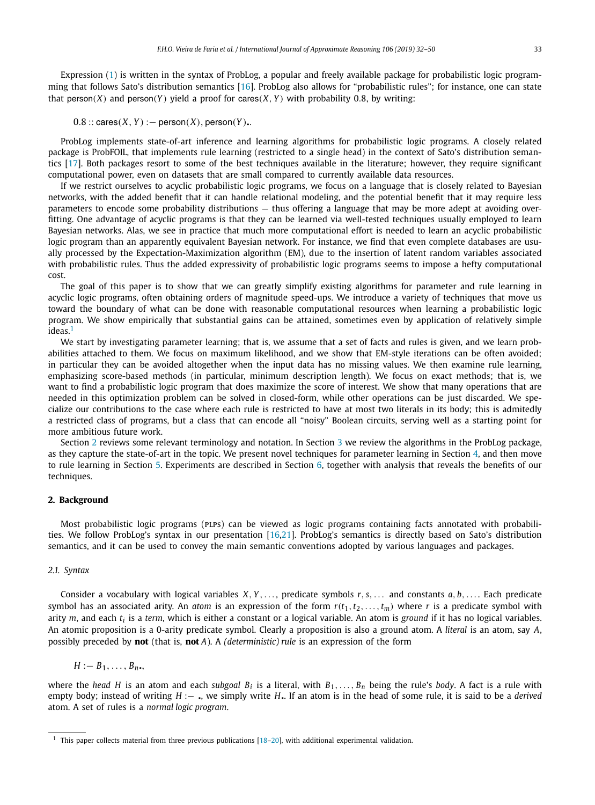Expression [\(1\)](#page-0-0) is written in the syntax of ProbLog, a popular and freely available package for probabilistic logic programming that follows Sato's distribution semantics [\[16\]](#page-18-0). ProbLog also allows for "probabilistic rules"; for instance, one can state that person $(X)$  and person $(Y)$  vield a proof for cares $(X, Y)$  with probability 0.8, by writing:

 $0.8$  :: cares $(X, Y)$  : – person $(X)$ , person $(Y)$ .

ProbLog implements state-of-art inference and learning algorithms for probabilistic logic programs. A closely related package is ProbFOIL, that implements rule learning (restricted to a single head) in the context of Sato's distribution semantics [\[17\]](#page-18-0). Both packages resort to some of the best techniques available in the literature; however, they require significant computational power, even on datasets that are small compared to currently available data resources.

If we restrict ourselves to acyclic probabilistic logic programs, we focus on a language that is closely related to Bayesian networks, with the added benefit that it can handle relational modeling, and the potential benefit that it may require less parameters to encode some probability distributions — thus offering a language that may be more adept at avoiding overfitting. One advantage of acyclic programs is that they can be learned via well-tested techniques usually employed to learn Bayesian networks. Alas, we see in practice that much more computational effort is needed to learn an acyclic probabilistic logic program than an apparently equivalent Bayesian network. For instance, we find that even complete databases are usually processed by the Expectation-Maximization algorithm (EM), due to the insertion of latent random variables associated with probabilistic rules. Thus the added expressivity of probabilistic logic programs seems to impose a hefty computational cost.

The goal of this paper is to show that we can greatly simplify existing algorithms for parameter and rule learning in acyclic logic programs, often obtaining orders of magnitude speed-ups. We introduce a variety of techniques that move us toward the boundary of what can be done with reasonable computational resources when learning a probabilistic logic program. We show empirically that substantial gains can be attained, sometimes even by application of relatively simple ideas.<sup>1</sup>

We start by investigating parameter learning; that is, we assume that a set of facts and rules is given, and we learn probabilities attached to them. We focus on maximum likelihood, and we show that EM-style iterations can be often avoided; in particular they can be avoided altogether when the input data has no missing values. We then examine rule learning, emphasizing score-based methods (in particular, minimum description length). We focus on exact methods; that is, we want to find a probabilistic logic program that does maximize the score of interest. We show that many operations that are needed in this optimization problem can be solved in closed-form, while other operations can be just discarded. We specialize our contributions to the case where each rule is restricted to have at most two literals in its body; this is admitedly a restricted class of programs, but a class that can encode all "noisy" Boolean circuits, serving well as a starting point for more ambitious future work.

Section 2 reviews some relevant terminology and notation. In Section [3](#page-3-0) we review the algorithms in the ProbLog package, as they capture the state-of-art in the topic. We present novel techniques for parameter learning in Section [4,](#page-4-0) and then move to rule learning in Section [5.](#page-7-0) Experiments are described in Section [6,](#page-10-0) together with analysis that reveals the benefits of our techniques.

# **2. Background**

Most probabilistic logic programs (PLPs) can be viewed as logic programs containing facts annotated with probabilities. We follow ProbLog's syntax in our presentation [\[16,21\]](#page-18-0). ProbLog's semantics is directly based on Sato's distribution semantics, and it can be used to convey the main semantic conventions adopted by various languages and packages.

# *2.1. Syntax*

Consider a vocabulary with logical variables *X, Y ,...* , predicate symbols *r, s,...* and constants *a, b,...* . Each predicate symbol has an associated arity. An *atom* is an expression of the form  $r(t_1, t_2, \ldots, t_m)$  where r is a predicate symbol with arity *m*, and each *ti* is a *term*, which is either a constant or a logical variable. An atom is *ground* if it has no logical variables. An atomic proposition is a 0-arity predicate symbol. Clearly a proposition is also a ground atom. A *literal* is an atom, say *A*, possibly preceded by **not** (that is, **not** *A*). A *(deterministic) rule* is an expression of the form

*H* :− *B*<sub>1</sub>*,..., B*<sub>*n*</sub><sup>*,</sup></sup>,</sup>* 

where the *head H* is an atom and each *subgoal*  $B_i$  is a literal, with  $B_1, \ldots, B_n$  being the rule's *body*. A fact is a rule with empty body; instead of writing *H* :− **.**, we simply write *H***.**. If an atom is in the head of some rule, it is said to be a *derived* atom. A set of rules is a *normal logic program*.

 $1$  This paper collects material from three previous publications [\[18–20\]](#page-18-0), with additional experimental validation.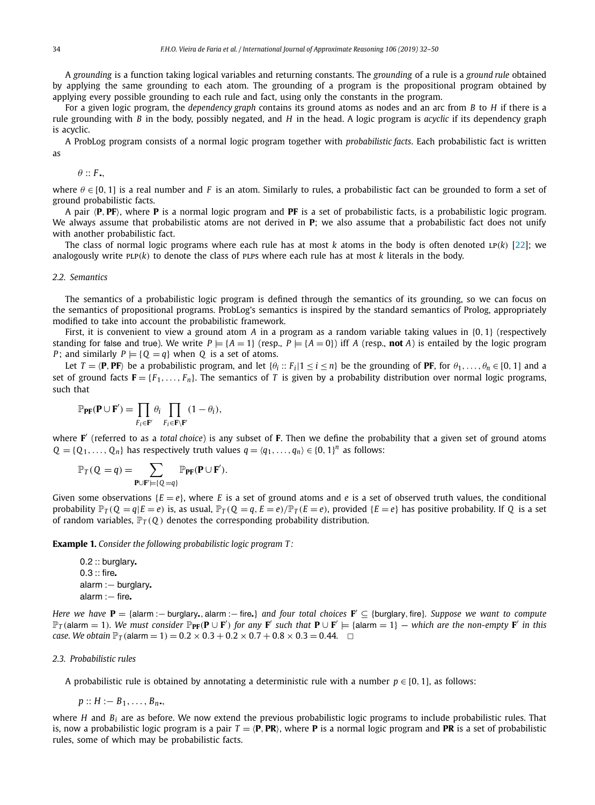<span id="page-2-0"></span>A *grounding* is a function taking logical variables and returning constants. The *grounding* of a rule is a *ground rule* obtained by applying the same grounding to each atom. The grounding of a program is the propositional program obtained by applying every possible grounding to each rule and fact, using only the constants in the program.

For a given logic program, the *dependency graph* contains its ground atoms as nodes and an arc from *B* to *H* if there is a rule grounding with *B* in the body, possibly negated, and *H* in the head. A logic program is *acyclic* if its dependency graph is acyclic.

A ProbLog program consists of a normal logic program together with *probabilistic facts*. Each probabilistic fact is written as

 $\theta$  ::  $F$ .,

where *θ* ∈ [0*,* 1] is a real number and *F* is an atom. Similarly to rules, a probabilistic fact can be grounded to form a set of ground probabilistic facts.

A pair **P***,***PF**, where **P** is a normal logic program and **PF** is a set of probabilistic facts, is a probabilistic logic program. We always assume that probabilistic atoms are not derived in **P**; we also assume that a probabilistic fact does not unify with another probabilistic fact.

The class of normal logic programs where each rule has at most  $k$  atoms in the body is often denoted LP( $k$ ) [\[22\]](#page-18-0); we analogously write  $PLP(k)$  to denote the class of PLPs where each rule has at most  $k$  literals in the body.

# *2.2. Semantics*

The semantics of a probabilistic logic program is defined through the semantics of its grounding, so we can focus on the semantics of propositional programs. ProbLog's semantics is inspired by the standard semantics of Prolog, appropriately modified to take into account the probabilistic framework.

First, it is convenient to view a ground atom *A* in a program as a random variable taking values in {0*,* 1} (respectively standing for false and true). We write  $P \models \{A = 1\}$  (resp.,  $P \models \{A = 0\}$ ) iff *A* (resp., **not** *A*) is entailed by the logic program *P*; and similarly  $P \models \{Q = q\}$  when *Q* is a set of atoms.

Let  $T = \langle P, PF \rangle$  be a probabilistic program, and let  $\{\theta_i : F_i | 1 \le i \le n\}$  be the grounding of PF, for  $\theta_1, \ldots, \theta_n \in [0, 1]$  and a set of ground facts  $\mathbf{F} = \{F_1, \ldots, F_n\}$ . The semantics of *T* is given by a probability distribution over normal logic programs, such that

$$
\mathbb{P}_{\mathbf{PF}}(\mathbf{P} \cup \mathbf{F}') = \prod_{F_i \in \mathbf{F}'} \theta_i \prod_{F_i \in \mathbf{F} \setminus \mathbf{F}'} (1 - \theta_i),
$$

where **F** (referred to as a *total choice*) is any subset of **F**. Then we define the probability that a given set of ground atoms  $Q = \{Q_1, \ldots, Q_n\}$  has respectively truth values  $q = \langle q_1, \ldots, q_n \rangle \in \{0, 1\}^n$  as follows:

$$
\mathbb{P}_T(Q = q) = \sum_{\mathbf{P} \cup \mathbf{F}' \models \{Q = q\}} \mathbb{P}_{\mathbf{P} \mathbf{F}}(\mathbf{P} \cup \mathbf{F}').
$$

Given some observations  ${E = e}$ , where *E* is a set of ground atoms and *e* is a set of observed truth values, the conditional probability  $\mathbb{P}_T(Q = q | E = e)$  is, as usual,  $\mathbb{P}_T(Q = q, E = e)/\mathbb{P}_T(E = e)$ , provided  $\{E = e\}$  has positive probability. If Q is a set of random variables,  $\mathbb{P}_T(Q)$  denotes the corresponding probability distribution.

**Example 1.** *Consider the following probabilistic logic program T :*

0*.*2 :: burglary*.* 0*.*3 :: fire*.* alarm :− burglary*.* alarm :− fire*.*

Here we have  $P = \{ \text{alarm} : -$  burglary., alarm :- fire.} and four total choices  $F' \subseteq \{ \text{burglary}, \text{fire} \}$ . Suppose we want to compute  $\mathbb{P}_T$  (alarm = 1). We must consider  $\mathbb{P}_{PF}(P\cup F')$  for any  $F'$  such that  $P\cup F' \models$  {alarm = 1} - which are the non-empty  $F'$  in this *case. We obtain*  $\mathbb{P}_T$  (alarm = 1) = 0.2 × 0.3 + 0.2 × 0.7 + 0.8 × 0.3 = 0.44.  $\Box$ 

*2.3. Probabilistic rules*

A probabilistic rule is obtained by annotating a deterministic rule with a number  $p \in [0, 1]$ , as follows:

*p* :: *H* :− *B*<sub>1</sub>*,..., B*<sub>n</sub><sup>*•</sup></sup>,</sup>* 

where *H* and *Bi* are as before. We now extend the previous probabilistic logic programs to include probabilistic rules. That is, now a probabilistic logic program is a pair  $T = \langle P, PR \rangle$ , where **P** is a normal logic program and **PR** is a set of probabilistic rules, some of which may be probabilistic facts.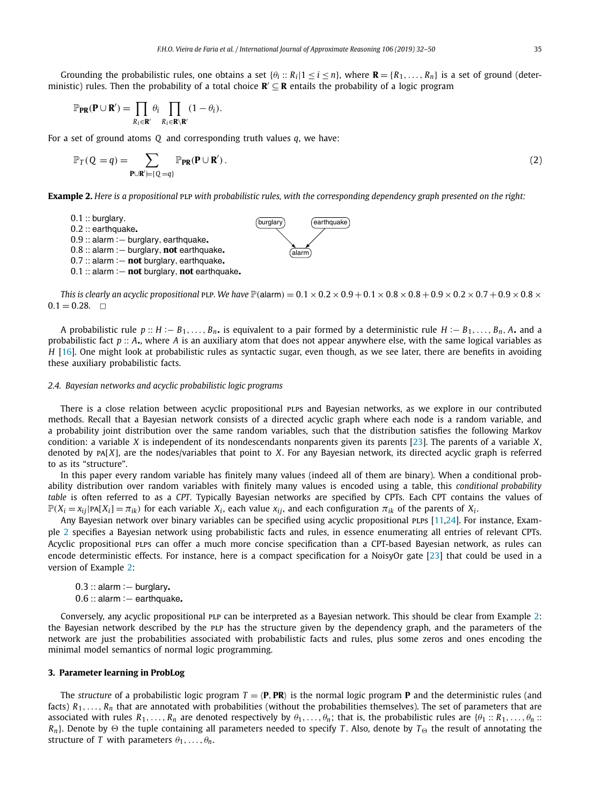<span id="page-3-0"></span>Grounding the probabilistic rules, one obtains a set  $\{\theta_i : R_i | 1 \le i \le n\}$ , where  $\mathbf{R} = \{R_1, \ldots, R_n\}$  is a set of ground (deterministic) rules. Then the probability of a total choice **R** ⊆ **R** entails the probability of a logic program

$$
\mathbb{P}_{PR}(P \cup R') = \prod_{R_i \in R'} \theta_i \prod_{R_i \in R \setminus R'} (1 - \theta_i).
$$

For a set of ground atoms *Q* and corresponding truth values *q*, we have:

$$
\mathbb{P}_T(Q = q) = \sum_{\mathbf{P} \cup \mathbf{R}' \models \{Q = q\}} \mathbb{P}_{\mathbf{PR}}(\mathbf{P} \cup \mathbf{R}'). \tag{2}
$$

**Example 2.** Here is a propositional PLP with probabilistic rules, with the corresponding dependency graph presented on the right:

*.*1 :: burglary*. .*2 :: earthquake**.** *.*9 :: alarm :− burglary*,* earthquake**.** *.*8 :: alarm :− burglary*,***not** earthquake**.** *.*7 :: alarm :− **not** burglary*,* earthquake**.** (burglary) earthquake alarm

0*.*1 :: alarm :− **not** burglary*,***not** earthquake**.**

This is clearly an acyclic propositional PLP. We have  $\mathbb{P}(\text{alarm}) = 0.1 \times 0.2 \times 0.9 + 0.1 \times 0.8 \times 0.8 + 0.9 \times 0.2 \times 0.7 + 0.9 \times 0.8 \times 0.8 + 0.9 \times 0.2 \times 0.7 + 0.9 \times 0.8 \times 0.8 + 0.9 \times 0.7 + 0.9 \times 0.8 \times 0.8 + 0.9 \times 0.8 \times 0.8 + 0.9 \times$  $0.1 = 0.28$ .  $\Box$ 

A probabilistic rule  $p :: H := B_1, \ldots, B_n$  is equivalent to a pair formed by a deterministic rule  $H := B_1, \ldots, B_n, A$  and a probabilistic fact *p* :: *A***.**, where *A* is an auxiliary atom that does not appear anywhere else, with the same logical variables as *H* [\[16\]](#page-18-0). One might look at probabilistic rules as syntactic sugar, even though, as we see later, there are benefits in avoiding these auxiliary probabilistic facts.

# *2.4. Bayesian networks and acyclic probabilistic logic programs*

There is a close relation between acyclic propositional plps and Bayesian networks, as we explore in our contributed methods. Recall that a Bayesian network consists of a directed acyclic graph where each node is a random variable, and a probability joint distribution over the same random variables, such that the distribution satisfies the following Markov condition: a variable *X* is independent of its nondescendants nonparents given its parents [\[23\]](#page-18-0). The parents of a variable *X*, denoted by pa[*X*], are the nodes/variables that point to *X*. For any Bayesian network, its directed acyclic graph is referred to as its "structure".

In this paper every random variable has finitely many values (indeed all of them are binary). When a conditional probability distribution over random variables with finitely many values is encoded using a table, this *conditional probability table* is often referred to as a *CPT*. Typically Bayesian networks are specified by CPTs. Each CPT contains the values of  $\mathbb{P}(X_i = x_{ij} | \text{PA}[X_i] = \pi_{ik})$  for each variable  $X_i$ , each value  $x_{ij}$ , and each configuration  $\pi_{ik}$  of the parents of  $X_i$ .

Any Bayesian network over binary variables can be specified using acyclic propositional PLPs  $[11,24]$ . For instance, Example 2 specifies a Bayesian network using probabilistic facts and rules, in essence enumerating all entries of relevant CPTs. Acyclic propositional plps can offer a much more concise specification than a CPT-based Bayesian network, as rules can encode deterministic effects. For instance, here is a compact specification for a NoisyOr gate [\[23\]](#page-18-0) that could be used in a version of Example 2:

0*.*3 :: alarm :− burglary**.** 0*.*6 :: alarm :− earthquake**.**

Conversely, any acyclic propositional PLP can be interpreted as a Bayesian network. This should be clear from Example 2: the Bayesian network described by the PLP has the structure given by the dependency graph, and the parameters of the network are just the probabilities associated with probabilistic facts and rules, plus some zeros and ones encoding the minimal model semantics of normal logic programming.

# **3. Parameter learning in ProbLog**

The *structure* of a probabilistic logic program  $T = \langle P, PR \rangle$  is the normal logic program **P** and the deterministic rules (and facts)  $R_1, \ldots, R_n$  that are annotated with probabilities (without the probabilities themselves). The set of parameters that are associated with rules  $R_1, \ldots, R_n$  are denoted respectively by  $\theta_1, \ldots, \theta_n$ ; that is, the probabilistic rules are  $\{\theta_1 : R_1, \ldots, \theta_n : R_1, \ldots, R_n\}$  $R_n$ . Denote by  $\Theta$  the tuple containing all parameters needed to specify *T*. Also, denote by  $T_{\Theta}$  the result of annotating the structure of *T* with parameters  $\theta_1, \ldots, \theta_n$ .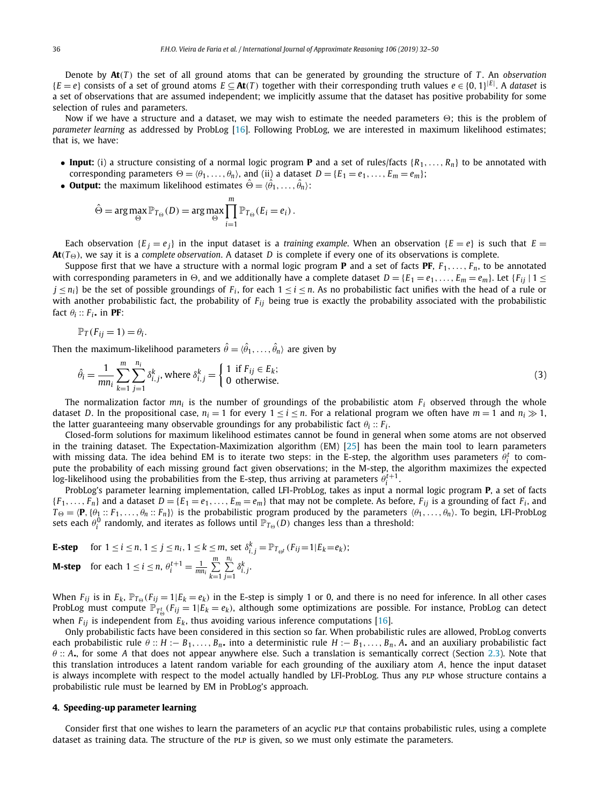<span id="page-4-0"></span>Denote by **At***(T )* the set of all ground atoms that can be generated by grounding the structure of *T* . An *observation*  ${E = e}$  consists of a set of ground atoms  $E \subseteq At(T)$  together with their corresponding truth values  $e \in \{0, 1\}^{|E|}$ . A *dataset* is a set of observations that are assumed independent; we implicitly assume that the dataset has positive probability for some selection of rules and parameters.

Now if we have a structure and a dataset, we may wish to estimate the needed parameters  $\Theta$ ; this is the problem of *parameter learning* as addressed by ProbLog [\[16\]](#page-18-0). Following ProbLog, we are interested in maximum likelihood estimates; that is, we have:

- **Input:** (i) a structure consisting of a normal logic program **P** and a set of rules/facts {*R*1*,..., Rn*} to be annotated with corresponding parameters  $\Theta = \langle \theta_1, \ldots, \theta_n \rangle$ , and (ii) a dataset  $D = \{E_1 = e_1, \ldots, E_m = e_m\};$
- **Output:** the maximum likelihood estimates  $\hat{\Theta} = \langle \hat{\theta}_1, \ldots, \hat{\theta}_n \rangle$ :

$$
\hat{\Theta} = \arg \max_{\Theta} \mathbb{P}_{T_{\Theta}}(D) = \arg \max_{\Theta} \prod_{i=1}^{m} \mathbb{P}_{T_{\Theta}}(E_i = e_i).
$$

Each observation  ${E_i = e_i}$  in the input dataset is a *training example*. When an observation  ${E = e}$  is such that  $E =$  $At(T<sub>\Theta</sub>)$ , we say it is a *complete observation*. A dataset *D* is complete if every one of its observations is complete.

Suppose first that we have a structure with a normal logic program **P** and a set of facts **PF**,  $F_1$ , ...,  $F_n$ , to be annotated with corresponding parameters in  $\Theta$ , and we additionally have a complete dataset  $D = \{E_1 = e_1, \ldots, E_m = e_m\}$ . Let  $\{F_{ij} | 1 \leq j \leq m\}$  $j \leq n_i$ } be the set of possible groundings of  $F_i$ , for each  $1 \leq i \leq n$ . As no probabilistic fact unifies with the head of a rule or with another probabilistic fact, the probability of *Fij* being true is exactly the probability associated with the probabilistic fact  $\theta_i$ : *F<sub>i</sub>***.** in **PF**:

$$
\mathbb{P}_T(F_{ij}=1)=\theta_i.
$$

Then the maximum-likelihood parameters  $\hat{\theta} = \langle \hat{\theta}_1, \ldots, \hat{\theta}_n \rangle$  are given by

$$
\hat{\theta}_i = \frac{1}{mn_i} \sum_{k=1}^m \sum_{j=1}^{n_i} \delta_{i,j}^k
$$
, where  $\delta_{i,j}^k = \begin{cases} 1 & \text{if } F_{ij} \in E_k; \\ 0 & \text{otherwise.} \end{cases}$  (3)

The normalization factor  $mn_i$  is the number of groundings of the probabilistic atom  $F_i$  observed through the whole dataset D. In the propositional case,  $n_i = 1$  for every  $1 \le i \le n$ . For a relational program we often have  $m = 1$  and  $n_i \gg 1$ , the latter guaranteeing many observable groundings for any probabilistic fact *θ<sup>i</sup>* :: *Fi* .

Closed-form solutions for maximum likelihood estimates cannot be found in general when some atoms are not observed in the training dataset. The Expectation-Maximization algorithm (EM) [\[25\]](#page-18-0) has been the main tool to learn parameters with missing data. The idea behind EM is to iterate two steps: in the E-step, the algorithm uses parameters  $\theta_i^t$  to compute the probability of each missing ground fact given observations; in the M-step, the algorithm maximizes the expected log-likelihood using the probabilities from the E-step, thus arriving at parameters  $\hat{\theta}_i^{t+1}$ .

ProbLog's parameter learning implementation, called LFI-ProbLog, takes as input a normal logic program **P**, a set of facts  ${F_1, \ldots, F_n}$  and a dataset  $D = {E_1 = e_1, \ldots, E_m = e_m}$  that may not be complete. As before,  $F_{ij}$  is a grounding of fact  $F_i$ , and  $T_{\Theta} = \langle \mathbf{P}, \{\theta_1 : : F_1, \ldots, \theta_n : : F_n\} \rangle$  is the probabilistic program produced by the parameters  $\langle \theta_1, \ldots, \theta_n \rangle$ . To begin, LFI-ProbLog sets each  $\theta_i^0$  randomly, and iterates as follows until  $\mathbb{P}_{T_{\Theta}}(D)$  changes less than a threshold:

**E-step** for  $1 \le i \le n, 1 \le j \le n_i, 1 \le k \le m$ , set  $\delta_{i,j}^k = \mathbb{P}_{T_{\Theta^t}}(F_{ij} = 1 | E_k = e_k)$ ;

**M-step** for each 
$$
1 \le i \le n
$$
,  $\theta_i^{t+1} = \frac{1}{mn_i} \sum_{k=1}^{m} \sum_{j=1}^{n_i} \delta_{i,j}^k$ .

When  $F_{ij}$  is in  $E_k$ ,  $\mathbb{P}_{T_{\Theta}}(F_{ij} = 1 | E_k = e_k)$  in the E-step is simply 1 or 0, and there is no need for inference. In all other cases ProbLog must compute  $\mathbb{P}_{T_{\Theta}^t}(F_{ij}=1|E_k=e_k)$ , although some optimizations are possible. For instance, ProbLog can detect when  $F_{ij}$  is independent from  $E_k$ , thus avoiding various inference computations [\[16\]](#page-18-0).

Only probabilistic facts have been considered in this section so far. When probabilistic rules are allowed, ProbLog converts each probabilistic rule  $\theta$  ::  $H := B_1, \ldots, B_n$ , into a deterministic rule  $H := B_1, \ldots, B_n, A$ , and an auxiliary probabilistic fact *θ* :: *A***.**, for some *A* that does not appear anywhere else. Such a translation is semantically correct (Section [2.3\)](#page-2-0). Note that this translation introduces a latent random variable for each grounding of the auxiliary atom *A*, hence the input dataset is always incomplete with respect to the model actually handled by LFI-ProbLog. Thus any PLP whose structure contains a probabilistic rule must be learned by EM in ProbLog's approach.

# **4. Speeding-up parameter learning**

Consider first that one wishes to learn the parameters of an acyclic PLP that contains probabilistic rules, using a complete dataset as training data. The structure of the plp is given, so we must only estimate the parameters.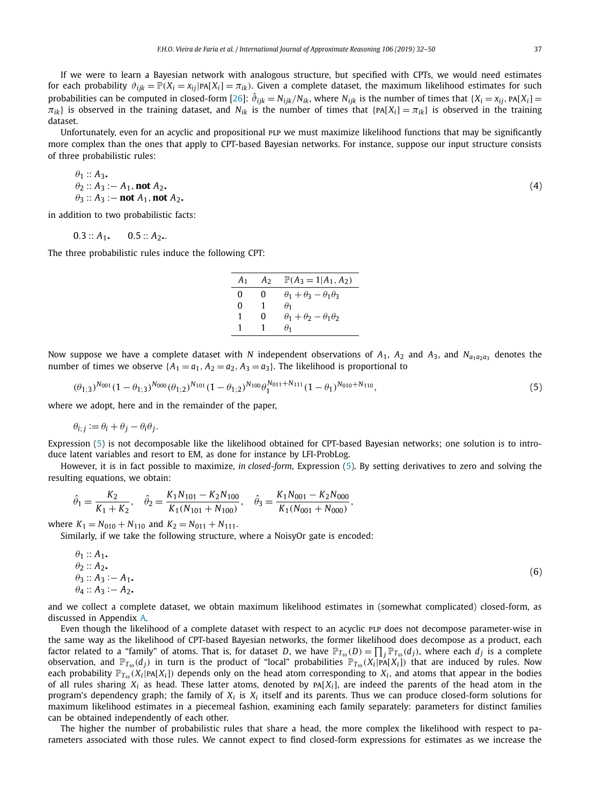<span id="page-5-0"></span>If we were to learn a Bayesian network with analogous structure, but specified with CPTs, we would need estimates for each probability  $\vartheta_{ijk} = \mathbb{P}(X_i = x_{ij} | \text{PA}[X_i] = \pi_{ik})$ . Given a complete dataset, the maximum likelihood estimates for such probabilities can be computed in closed-form [\[26\]](#page-18-0):  $\hat{v}_{ijk} = N_{ijk}/N_{ik}$ , where  $N_{ijk}$  is the number of times that  $\{X_i = x_{ij}, p_A[X_i]\}$  $\pi_{ik}$  is observed in the training dataset, and  $N_{ik}$  is the number of times that {pa[*X<sub>i</sub>*] =  $\pi_{ik}$ } is observed in the training dataset.

Unfortunately, even for an acyclic and propositional PLP we must maximize likelihood functions that may be significantly more complex than the ones that apply to CPT-based Bayesian networks. For instance, suppose our input structure consists of three probabilistic rules:

$$
\begin{array}{l}\n\theta_1 :: A_3. \\
\theta_2 :: A_3 := A_1, \text{not } A_2. \\
\theta_3 :: A_3 := \text{not } A_1, \text{not } A_2.\n\end{array} \tag{4}
$$

in addition to two probabilistic facts:

 $0.3 :: A_1$ .  $0.5 :: A_2$ .

The three probabilistic rules induce the following CPT:

| A۱ | Aэ          | $\mathbb{P}(A_3 = 1   A_1, A_2)$          |
|----|-------------|-------------------------------------------|
| 0  | $^{\prime}$ | $\theta_1 + \theta_3 - \theta_1 \theta_3$ |
| 0  |             | $\theta_1$                                |
| 1  | O           | $\theta_1 + \theta_2 - \theta_1 \theta_2$ |
| 1  |             | $\theta_1$                                |

Now suppose we have a complete dataset with *N* independent observations of  $A_1$ ,  $A_2$  and  $A_3$ , and  $N_{a_1a_2a_3}$  denotes the number of times we observe  $\{A_1 = a_1, A_2 = a_2, A_3 = a_3\}$ . The likelihood is proportional to

$$
(\theta_{1;3})^{N_{001}}(1-\theta_{1;3})^{N_{000}}(\theta_{1;2})^{N_{101}}(1-\theta_{1;2})^{N_{100}}\theta_1^{N_{011}+N_{111}}(1-\theta_1)^{N_{010}+N_{110}},
$$
\n(5)

where we adopt, here and in the remainder of the paper,

$$
\theta_{i;j} := \theta_i + \theta_j - \theta_i \theta_j.
$$

Expression (5) is not decomposable like the likelihood obtained for CPT-based Bayesian networks; one solution is to introduce latent variables and resort to EM, as done for instance by LFI-ProbLog.

However, it is in fact possible to maximize, *in closed-form*, Expression (5). By setting derivatives to zero and solving the resulting equations, we obtain:

$$
\hat{\theta}_1 = \frac{K_2}{K_1 + K_2}, \quad \hat{\theta}_2 = \frac{K_1 N_{101} - K_2 N_{100}}{K_1 (N_{101} + N_{100})}, \quad \hat{\theta}_3 = \frac{K_1 N_{001} - K_2 N_{000}}{K_1 (N_{001} + N_{000})}
$$

where  $K_1 = N_{010} + N_{110}$  and  $K_2 = N_{011} + N_{111}$ .

Similarly, if we take the following structure, where a NoisyOr gate is encoded:

$$
\theta_1 :: A_1.\n\theta_2 :: A_2.\n\theta_3 :: A_3 : - A_1.\n\theta_4 :: A_3 : - A_2.
$$
\n(6)

*,*

and we collect a complete dataset, we obtain maximum likelihood estimates in (somewhat complicated) closed-form, as discussed in Appendix [A.](#page-16-0)

Even though the likelihood of a complete dataset with respect to an acyclic PLP does not decompose parameter-wise in the same way as the likelihood of CPT-based Bayesian networks, the former likelihood does decompose as a product, each factor related to a "family" of atoms. That is, for dataset *D*, we have  $\mathbb{P}_{T_{\Theta}}(D)=\prod_j \mathbb{P}_{T_{\Theta}}(d_j)$ , where each  $d_j$  is a complete observation, and  $\mathbb{P}_{T_{\Theta}}(d_i)$  in turn is the product of "local" probabilities  $\mathbb{P}_{T_{\Theta}}(X_i|\hat{\text{PA}}[X_i])$  that are induced by rules. Now each probability  $\mathbb{P}_{T_{\Theta}}(X_i|\text{PA}[X_i])$  depends only on the head atom corresponding to  $X_i$ , and atoms that appear in the bodies of all rules sharing *Xi* as head. These latter atoms, denoted by pa[*Xi*], are indeed the parents of the head atom in the program's dependency graph; the family of *Xi* is *Xi* itself and its parents. Thus we can produce closed-form solutions for maximum likelihood estimates in a piecemeal fashion, examining each family separately: parameters for distinct families can be obtained independently of each other.

The higher the number of probabilistic rules that share a head, the more complex the likelihood with respect to parameters associated with those rules. We cannot expect to find closed-form expressions for estimates as we increase the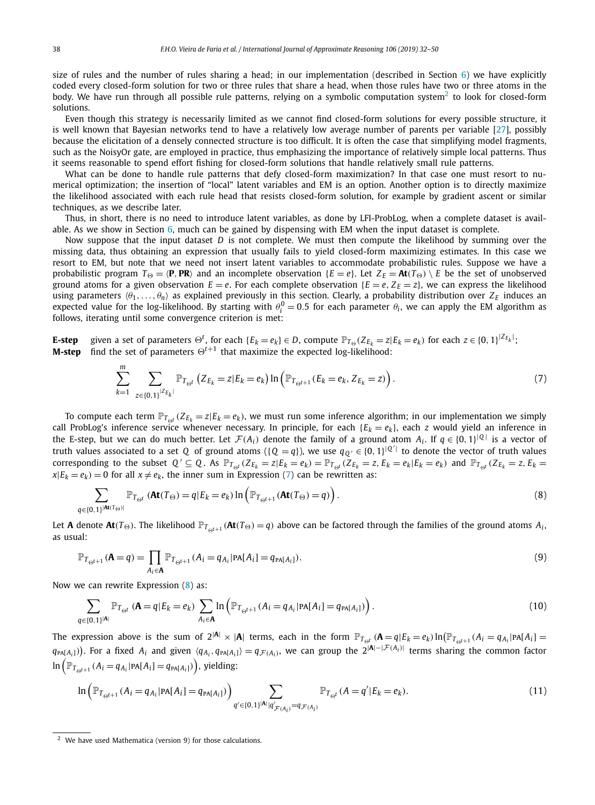size of rules and the number of rules sharing a head; in our implementation (described in Section  $6$ ) we have explicitly coded every closed-form solution for two or three rules that share a head, when those rules have two or three atoms in the body. We have run through all possible rule patterns, relying on a symbolic computation system<sup>2</sup> to look for closed-form solutions.

Even though this strategy is necessarily limited as we cannot find closed-form solutions for every possible structure, it is well known that Bayesian networks tend to have a relatively low average number of parents per variable [\[27\]](#page-18-0), possibly because the elicitation of a densely connected structure is too difficult. It is often the case that simplifying model fragments, such as the NoisyOr gate, are employed in practice, thus emphasizing the importance of relatively simple local patterns. Thus it seems reasonable to spend effort fishing for closed-form solutions that handle relatively small rule patterns.

What can be done to handle rule patterns that defy closed-form maximization? In that case one must resort to numerical optimization; the insertion of "local" latent variables and EM is an option. Another option is to directly maximize the likelihood associated with each rule head that resists closed-form solution, for example by gradient ascent or similar techniques, as we describe later.

Thus, in short, there is no need to introduce latent variables, as done by LFI-ProbLog, when a complete dataset is available. As we show in Section [6,](#page-10-0) much can be gained by dispensing with EM when the input dataset is complete.

Now suppose that the input dataset *D* is not complete. We must then compute the likelihood by summing over the missing data, thus obtaining an expression that usually fails to yield closed-form maximizing estimates. In this case we resort to EM, but note that we need not insert latent variables to accommodate probabilistic rules. Suppose we have a probabilistic program  $T_{\Theta} = \langle P, PR \rangle$  and an incomplete observation  $\{E = e\}$ . Let  $Z_E = At(T_{\Theta}) \setminus E$  be the set of unobserved ground atoms for a given observation  $E = e$ . For each complete observation  $\{E = e, Z_E = z\}$ , we can express the likelihood using parameters  $\langle \theta_1, \ldots, \theta_n \rangle$  as explained previously in this section. Clearly, a probability distribution over  $Z_E$  induces an expected value for the log-likelihood. By starting with  $\theta_i^0 = 0.5$  for each parameter  $\theta_i$ , we can apply the EM algorithm as follows, iterating until some convergence criterion is met:

**E-step** given a set of parameters  $\Theta^t$ , for each  $\{E_k=e_k\}\in D$ , compute  $\mathbb{P}_{T_{\Theta}}(Z_{E_k}=z|E_k=e_k)$  for each  $z\in\{0,1\}^{|Z_{E_k}|}$ ; **M-step** find the set of parameters  $\Theta^{t+1}$  that maximize the expected log-likelihood:

$$
\sum_{k=1}^{m} \sum_{z \in \{0,1\}^{|Z_{E_k}|}} \mathbb{P}_{T_{\Theta^t}}\left(Z_{E_k} = z | E_k = e_k\right) \ln\left(\mathbb{P}_{T_{\Theta^{t+1}}}(E_k = e_k, Z_{E_k} = z)\right).
$$
\n(7)

To compute each term  $\mathbb{P}_{T_{\text{cf}}}$  ( $Z_{E_k} = z|E_k = e_k$ ), we must run some inference algorithm; in our implementation we simply call ProbLog's inference service whenever necessary. In principle, for each  ${E_k = e_k}$ , each *z* would yield an inference in the E-step, but we can do much better. Let  $\mathcal{F}(A_i)$  denote the family of a ground atom  $A_i$ . If  $q \in \{0, 1\}^{|Q|}$  is a vector of truth values associated to a set *Q* of ground atoms ({ $Q = q$ }), we use  $q_{Q'} \in \{0, 1\}^{|Q'|}$  to denote the vector of truth values corresponding to the subset  $Q' \subseteq Q$ . As  $\mathbb{P}_{T_{\Theta^t}}(Z_{E_k} = z | E_k = e_k) = \mathbb{P}_{T_{\Theta^t}}(Z_{E_k} = z, E_k = e_k | E_k = e_k)$  and  $\mathbb{P}_{T_{\Theta^t}}(Z_{E_k} = z, E_k = e_k)$  $x|E_k = e_k$  = 0 for all  $x \neq e_k$ , the inner sum in Expression (7) can be rewritten as:

$$
\sum_{\in\{0,1\}^{|\mathbf{At}(T_{\Theta})|}} \mathbb{P}_{T_{\Theta^t}}\left(\mathbf{At}(T_{\Theta}) = q | E_k = e_k\right) \ln\left(\mathbb{P}_{T_{\Theta^{t+1}}}(\mathbf{At}(T_{\Theta}) = q)\right). \tag{8}
$$

Let **A** denote  $At(T_{\Theta})$ . The likelihood  $\mathbb{P}_{T_{\Omega}+1}$  ( $At(T_{\Theta})=q$ ) above can be factored through the families of the ground atoms  $A_i$ , as usual:

$$
\mathbb{P}_{T_{\Theta^{t+1}}}(\mathbf{A}=q) = \prod_{A_i \in \mathbf{A}} \mathbb{P}_{T_{\Theta^{t+1}}} (A_i = q_{A_i} | \text{PA}[A_i] = q_{\text{PA}[A_i]}).
$$
\n(9)

Now we can rewrite Expression (8) as:

*q*∈{0*,*1}

$$
\sum_{q \in \{0,1\}^{|\mathbf{A}|}} \mathbb{P}_{T_{\Theta^t}} \left( \mathbf{A} = q | E_k = e_k \right) \sum_{A_i \in \mathbf{A}} \ln \left( \mathbb{P}_{T_{\Theta^{t+1}}} (A_i = q_{A_i} | \text{PA}[A_i] = q_{\text{PA}[A_i]} ) \right). \tag{10}
$$

The expression above is the sum of  $2^{|A|} \times |A|$  terms, each in the form  $\mathbb{P}_{T_{\Theta^t}}(A = q|E_k = e_k) \ln(\mathbb{P}_{T_{\Theta^{t+1}}}(A_i = q_{A_i}|PA[A_i]) =$  $(q_{PA[A_i]})$ ). For a fixed  $A_i$  and given  $\langle q_{A_i}, q_{PA[A_i]}\rangle = q_{\mathcal{F}(A_i)}$ , we can group the  $2^{|A|-|\mathcal{F}(A_i)|}$  terms sharing the common factor  $\ln\left(\mathbb{P}_{T_{\Theta^{t+1}}}(A_i = q_{A_i} | \text{PA}[A_i] = q_{\text{PA}[A_i]})\right)$ , yielding:

$$
\ln\left(\mathbb{P}_{T_{\Theta^{t+1}}}(A_i = q_{A_i} | \text{PA}[A_i] = q_{\text{PA}[A_i]})\right) \sum_{q' \in \{0,1\}^{|A|} | q'_{\mathcal{F}(A_i)} = q_{\mathcal{F}(A_i)}} \mathbb{P}_{T_{\Theta^t}}(A = q' | E_k = e_k). \tag{11}
$$

<sup>2</sup> We have used Mathematica (version 9) for those calculations.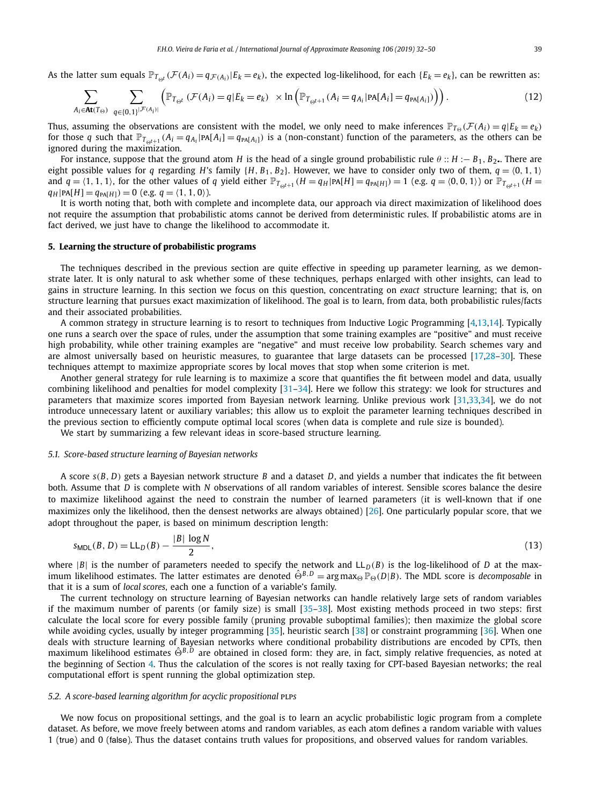<span id="page-7-0"></span>As the latter sum equals  $\mathbb{P}_{T_{\text{cat}}}(\mathcal{F}(A_i)) = q_{\mathcal{F}(A_i)} | E_k = e_k$ , the expected log-likelihood, for each  $\{E_k = e_k\}$ , can be rewritten as:

$$
\sum_{A_i \in \mathbf{At}(T_{\Theta})} \sum_{q \in \{0,1\}^{|\mathcal{F}(A_i)|}} \left( \mathbb{P}_{T_{\Theta^t}} \left( \mathcal{F}(A_i) = q | E_k = e_k \right) \right) \times \ln \left( \mathbb{P}_{T_{\Theta^{t+1}}} (A_i = q_{A_i} | \text{PA}[A_i] = q_{\text{PA}[A_i]} ) \right) \right).
$$
\n(12)

Thus, assuming the observations are consistent with the model, we only need to make inferences  $\mathbb{P}_{T_{\Theta}}(\mathcal{F}(A_i) = q | E_k = e_k)$ for those *q* such that  $\mathbb{P}_{T_{\text{off}-1}}(A_i = q_{A_i} | \text{PA}[A_i] = q_{\text{PA}[A_i]} )$  is a (non-constant) function of the parameters, as the others can be ignored during the maximization.

For instance, suppose that the ground atom *H* is the head of a single ground probabilistic rule  $\theta$  ::  $H := B_1, B_2$ . There are eight possible values for *q* regarding *H*'s family  $\{H, B_1, B_2\}$ . However, we have to consider only two of them,  $q = \{0, 1, 1\}$ and  $q = \langle 1, 1, 1 \rangle$ , for the other values of q yield either  $\mathbb{P}_{T_{\text{off}-1}}(H = q_H | \text{PA}[H] = q_{\text{PA}}(H)) = 1$  (e.g.  $q = \langle 0, 0, 1 \rangle$ ) or  $\mathbb{P}_{T_{\text{off}-1}}(H = q_H | \text{PA}[H]) = 1$  $q_H$ |PA[*H*] =  $q_{PA(H)}$ ) = 0 (e.g.  $q = \langle 1, 1, 0 \rangle$ ).

It is worth noting that, both with complete and incomplete data, our approach via direct maximization of likelihood does not require the assumption that probabilistic atoms cannot be derived from deterministic rules. If probabilistic atoms are in fact derived, we just have to change the likelihood to accommodate it.

### **5. Learning the structure of probabilistic programs**

The techniques described in the previous section are quite effective in speeding up parameter learning, as we demonstrate later. It is only natural to ask whether some of these techniques, perhaps enlarged with other insights, can lead to gains in structure learning. In this section we focus on this question, concentrating on *exact* structure learning; that is, on structure learning that pursues exact maximization of likelihood. The goal is to learn, from data, both probabilistic rules/facts and their associated probabilities.

A common strategy in structure learning is to resort to techniques from Inductive Logic Programming [\[4,13,14\]](#page-18-0). Typically one runs a search over the space of rules, under the assumption that some training examples are "positive" and must receive high probability, while other training examples are "negative" and must receive low probability. Search schemes vary and are almost universally based on heuristic measures, to guarantee that large datasets can be processed [\[17,28–30\]](#page-18-0). These techniques attempt to maximize appropriate scores by local moves that stop when some criterion is met.

Another general strategy for rule learning is to maximize a score that quantifies the fit between model and data, usually combining likelihood and penalties for model complexity  $[31–34]$ . Here we follow this strategy: we look for structures and parameters that maximize scores imported from Bayesian network learning. Unlike previous work [\[31,33,34\]](#page-18-0), we do not introduce unnecessary latent or auxiliary variables; this allow us to exploit the parameter learning techniques described in the previous section to efficiently compute optimal local scores (when data is complete and rule size is bounded).

We start by summarizing a few relevant ideas in score-based structure learning.

### *5.1. Score-based structure learning of Bayesian networks*

A score *s(B, D)* gets a Bayesian network structure *B* and a dataset *D*, and yields a number that indicates the fit between both. Assume that *D* is complete with *N* observations of all random variables of interest. Sensible scores balance the desire to maximize likelihood against the need to constrain the number of learned parameters (it is well-known that if one maximizes only the likelihood, then the densest networks are always obtained) [\[26\]](#page-18-0). One particularly popular score, that we adopt throughout the paper, is based on minimum description length:

$$
S_{\text{MDL}}(B, D) = \text{LL}_D(B) - \frac{|B| \log N}{2},\tag{13}
$$

where  $|B|$  is the number of parameters needed to specify the network and  $LL_D(B)$  is the log-likelihood of *D* at the maximum likelihood estimates. The latter estimates are denoted  $\hat{\Theta}^{B,D} = \arg \max_{\Theta} \mathbb{P}_{\Theta}(D|B)$ . The MDL score is *decomposable* in that it is a sum of *local scores*, each one a function of a variable's family.

The current technology on structure learning of Bayesian networks can handle relatively large sets of random variables if the maximum number of parents (or family size) is small [\[35–38\]](#page-18-0). Most existing methods proceed in two steps: first calculate the local score for every possible family (pruning provable suboptimal families); then maximize the global score while avoiding cycles, usually by integer programming [\[35\]](#page-18-0), heuristic search [\[38\]](#page-18-0) or constraint programming [\[36\]](#page-18-0). When one deals with structure learning of Bayesian networks where conditional probability distributions are encoded by CPTs, then maximum likelihood estimates  $\hat{\Theta}^{B,D}$  are obtained in closed form: they are, in fact, simply relative frequencies, as noted at the beginning of Section [4.](#page-4-0) Thus the calculation of the scores is not really taxing for CPT-based Bayesian networks; the real computational effort is spent running the global optimization step.

# *5.2. A score-based learning algorithm for acyclic propositional* plp*s*

We now focus on propositional settings, and the goal is to learn an acyclic probabilistic logic program from a complete dataset. As before, we move freely between atoms and random variables, as each atom defines a random variable with values 1 (true) and 0 (false). Thus the dataset contains truth values for propositions, and observed values for random variables.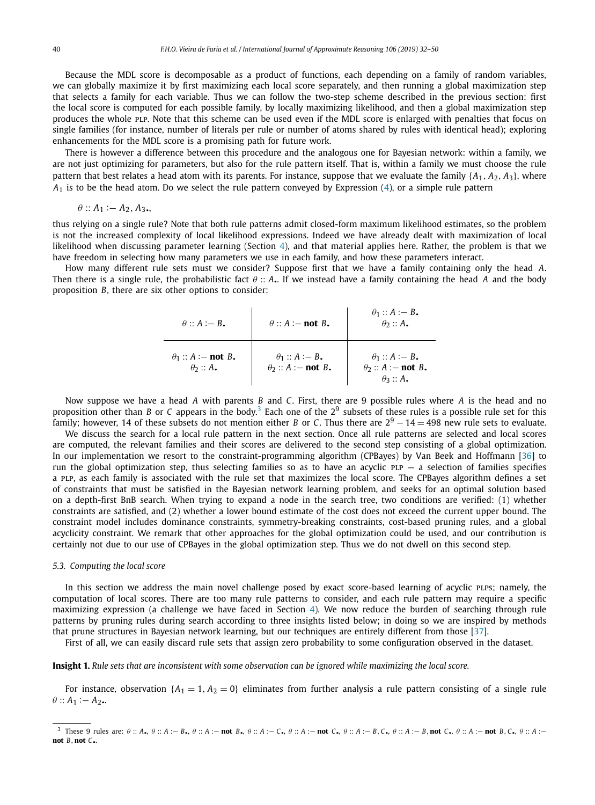Because the MDL score is decomposable as a product of functions, each depending on a family of random variables, we can globally maximize it by first maximizing each local score separately, and then running a global maximization step that selects a family for each variable. Thus we can follow the two-step scheme described in the previous section: first the local score is computed for each possible family, by locally maximizing likelihood, and then a global maximization step produces the whole plp. Note that this scheme can be used even if the MDL score is enlarged with penalties that focus on single families (for instance, number of literals per rule or number of atoms shared by rules with identical head); exploring enhancements for the MDL score is a promising path for future work.

There is however a difference between this procedure and the analogous one for Bayesian network: within a family, we are not just optimizing for parameters, but also for the rule pattern itself. That is, within a family we must choose the rule pattern that best relates a head atom with its parents. For instance, suppose that we evaluate the family {*A*1*, A*2*, A*3}, where *A*<sup>1</sup> is to be the head atom. Do we select the rule pattern conveyed by Expression [\(4\)](#page-5-0), or a simple rule pattern

$$
\theta :: A_1 := A_2, A_3 \bullet,
$$

thus relying on a single rule? Note that both rule patterns admit closed-form maximum likelihood estimates, so the problem is not the increased complexity of local likelihood expressions. Indeed we have already dealt with maximization of local likelihood when discussing parameter learning (Section [4\)](#page-4-0), and that material applies here. Rather, the problem is that we have freedom in selecting how many parameters we use in each family, and how these parameters interact.

How many different rule sets must we consider? Suppose first that we have a family containing only the head *A*. Then there is a single rule, the probabilistic fact *θ* :: *A***.**. If we instead have a family containing the head *A* and the body proposition *B*, there are six other options to consider:

| $\theta$ :: A : - B.                           | $\theta$ :: A : - not B.                             | $\theta_1 :: A := B$ .<br>$\theta_2$ :: A.                                |
|------------------------------------------------|------------------------------------------------------|---------------------------------------------------------------------------|
| $\theta_1$ :: A : - not B.<br>$\theta_2$ :: A. | $\theta_1 :: A := B$ .<br>$\theta_2$ :: A : - not B. | $\theta_1 :: A := B$ .<br>$\theta_2$ :: A : - not B.<br>$\theta_3 :: A$ . |

Now suppose we have a head *A* with parents *B* and *C*. First, there are 9 possible rules where *A* is the head and no proposition other than *B* or *C* appears in the body.<sup>3</sup> Each one of the 29 subsets of these rules is a possible rule set for this family; however, 14 of these subsets do not mention either *B* or *C*. Thus there are  $2^9 - 14 = 498$  new rule sets to evaluate.

We discuss the search for a local rule pattern in the next section. Once all rule patterns are selected and local scores are computed, the relevant families and their scores are delivered to the second step consisting of a global optimization. In our implementation we resort to the constraint-programming algorithm (CPBayes) by Van Beek and Hoffmann [\[36\]](#page-18-0) to run the global optimization step, thus selecting families so as to have an acyclic  $PLP - a$  selection of families specifies a plp, as each family is associated with the rule set that maximizes the local score. The CPBayes algorithm defines a set of constraints that must be satisfied in the Bayesian network learning problem, and seeks for an optimal solution based on a depth-first BnB search. When trying to expand a node in the search tree, two conditions are verified: (1) whether constraints are satisfied, and (2) whether a lower bound estimate of the cost does not exceed the current upper bound. The constraint model includes dominance constraints, symmetry-breaking constraints, cost-based pruning rules, and a global acyclicity constraint. We remark that other approaches for the global optimization could be used, and our contribution is certainly not due to our use of CPBayes in the global optimization step. Thus we do not dwell on this second step.

#### *5.3. Computing the local score*

In this section we address the main novel challenge posed by exact score-based learning of acyclic PLPs; namely, the computation of local scores. There are too many rule patterns to consider, and each rule pattern may require a specific maximizing expression (a challenge we have faced in Section [4\)](#page-4-0). We now reduce the burden of searching through rule patterns by pruning rules during search according to three insights listed below; in doing so we are inspired by methods that prune structures in Bayesian network learning, but our techniques are entirely different from those [\[37\]](#page-18-0).

First of all, we can easily discard rule sets that assign zero probability to some configuration observed in the dataset.

Insight 1. Rule sets that are inconsistent with some observation can be ignored while maximizing the local score.

For instance, observation  ${A_1 = 1, A_2 = 0}$  eliminates from further analysis a rule pattern consisting of a single rule  $\theta$  ::  $A_1$  :−  $A_2$ ..

These 9 rules are:  $\theta$  :: A,  $\theta$  :: A : - B,  $\theta$  :: A : - not B,  $\theta$  :: A : - C,  $\theta$  :: A : - not C,  $\theta$  :: A : - B, C,  $\theta$  :: A : - B, not C,  $\theta$  :: A : - not B, C,  $\theta$  :: A : - not B, C,  $\theta$  :: A : **not** *<sup>B</sup>,***not** *<sup>C</sup>***.**.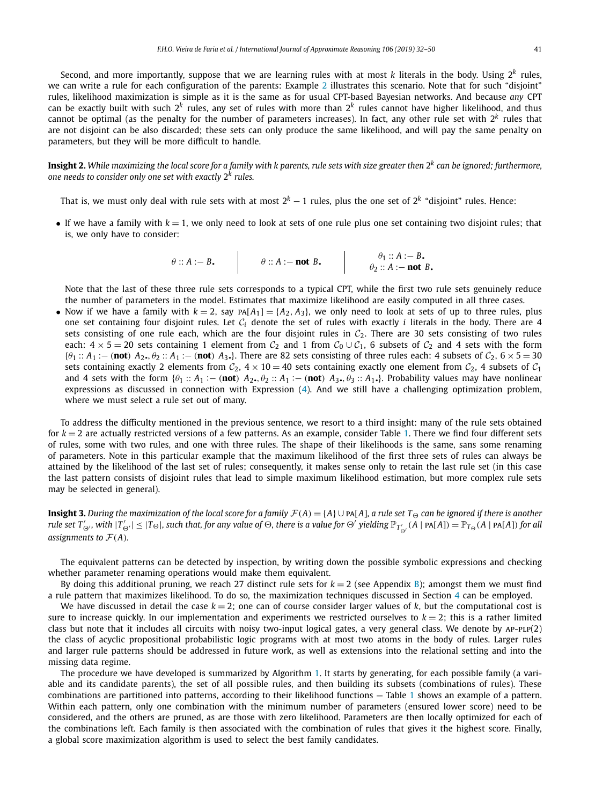Second, and more importantly, suppose that we are learning rules with at most  $k$  literals in the body. Using  $2^k$  rules, we can write a rule for each configuration of the parents: Example [2](#page-3-0) illustrates this scenario. Note that for such "disjoint" rules, likelihood maximization is simple as it is the same as for usual CPT-based Bayesian networks. And because *any* CPT can be exactly built with such 2*<sup>k</sup>* rules, any set of rules with more than 2*<sup>k</sup>* rules cannot have higher likelihood, and thus cannot be optimal (as the penalty for the number of parameters increases). In fact, any other rule set with  $2<sup>k</sup>$  rules that are not disjoint can be also discarded; these sets can only produce the same likelihood, and will pay the same penalty on parameters, but they will be more difficult to handle.

**Insight 2.** While maximizing the local score for a family with k parents, rule sets with size greater then  $2^k$  can be ignored; furthermore, *one needs to consider only one set with exactly* 2*<sup>k</sup> rules.*

That is, we must only deal with rule sets with at most  $2<sup>k</sup> - 1$  rules, plus the one set of  $2<sup>k</sup>$  "disjoint" rules. Hence:

• If we have a family with  $k = 1$ , we only need to look at sets of one rule plus one set containing two disjoint rules; that is, we only have to consider:

$$
\theta
$$
 ::  $A := B$ .  
\n $\theta$  ::  $A := \textbf{not } B$ .  
\n $\theta_2$  ::  $A := \textbf{not } B$ .  
\n $\theta_2$  ::  $A := \textbf{not } B$ .

Note that the last of these three rule sets corresponds to a typical CPT, while the first two rule sets genuinely reduce the number of parameters in the model. Estimates that maximize likelihood are easily computed in all three cases.

• Now if we have a family with  $k = 2$ , say  $PA_1$  $[$   $A_2$ ,  $A_3$  $]$ , we only need to look at sets of up to three rules, plus one set containing four disjoint rules. Let C*<sup>i</sup>* denote the set of rules with exactly *i* literals in the body. There are 4 sets consisting of one rule each, which are the four disjoint rules in  $C_2$ . There are 30 sets consisting of two rules each:  $4 \times 5 = 20$  sets containing 1 element from  $C_2$  and 1 from  $C_0 \cup C_1$ , 6 subsets of  $C_2$  and 4 sets with the form  $\{\theta_1 : A_1:$  (not)  $A_2$ ,  $\theta_2 : A_1:$  (not)  $A_3$ . There are 82 sets consisting of three rules each: 4 subsets of  $C_2$ ,  $6 \times 5 = 30$ sets containing exactly 2 elements from  $C_2$ ,  $4 \times 10 = 40$  sets containing exactly one element from  $C_2$ ,  $4$  subsets of  $C_1$ and 4 sets with the form  $\{\theta_1 : A_1 = (\textbf{not}) A_2, \theta_2 : A_1 = (\textbf{not}) A_3, \theta_3 : A_1\}$ . Probability values may have nonlinear expressions as discussed in connection with Expression [\(4\)](#page-5-0). And we still have a challenging optimization problem, where we must select a rule set out of many.

To address the difficulty mentioned in the previous sentence, we resort to a third insight: many of the rule sets obtained for *k* = 2 are actually restricted versions of a few patterns. As an example, consider Table [1.](#page-10-0) There we find four different sets of rules, some with two rules, and one with three rules. The shape of their likelihoods is the same, sans some renaming of parameters. Note in this particular example that the maximum likelihood of the first three sets of rules can always be attained by the likelihood of the last set of rules; consequently, it makes sense only to retain the last rule set (in this case the last pattern consists of disjoint rules that lead to simple maximum likelihood estimation, but more complex rule sets may be selected in general).

**Insight 3.** During the maximization of the local score for a family  $\mathcal{F}(A) = \{A\} \cup PA[A]$ , a rule set  $T_{\Theta}$  can be ignored if there is another rule set  $T'_{\Theta'}$ , with  $|T'_{\Theta'}|\leq |T_\Theta|$ , such that, for any value of  $\Theta$ , there is a value for  $\Theta'$  yielding  $\mathbb{P}_{T'_{\Theta'}}(A\mid$   $\text{PA}[A])=\mathbb{P}_{T_\Theta}(A\mid \text{PA}[A])$  for all *assignments to*  $\mathcal{F}(A)$ *.* 

The equivalent patterns can be detected by inspection, by writing down the possible symbolic expressions and checking whether parameter renaming operations would make them equivalent.

By doing this additional pruning, we reach 27 distinct rule sets for  $k = 2$  (see Appendix [B\)](#page-17-0); amongst them we must find a rule pattern that maximizes likelihood. To do so, the maximization techniques discussed in Section [4](#page-4-0) can be employed.

We have discussed in detail the case  $k = 2$ ; one can of course consider larger values of  $k$ , but the computational cost is sure to increase quickly. In our implementation and experiments we restricted ourselves to  $k = 2$ ; this is a rather limited class but note that it includes all circuits with noisy two-input logical gates, a very general class. We denote by AP-PLP(2) the class of acyclic propositional probabilistic logic programs with at most two atoms in the body of rules. Larger rules and larger rule patterns should be addressed in future work, as well as extensions into the relational setting and into the missing data regime.

The procedure we have developed is summarized by Algorithm [1.](#page-10-0) It starts by generating, for each possible family (a variable and its candidate parents), the set of all possible rules, and then building its subsets (combinations of rules). These combinations are partitioned into patterns, according to their likelihood functions — Table [1](#page-10-0) shows an example of a pattern. Within each pattern, only one combination with the minimum number of parameters (ensured lower score) need to be considered, and the others are pruned, as are those with zero likelihood. Parameters are then locally optimized for each of the combinations left. Each family is then associated with the combination of rules that gives it the highest score. Finally, a global score maximization algorithm is used to select the best family candidates.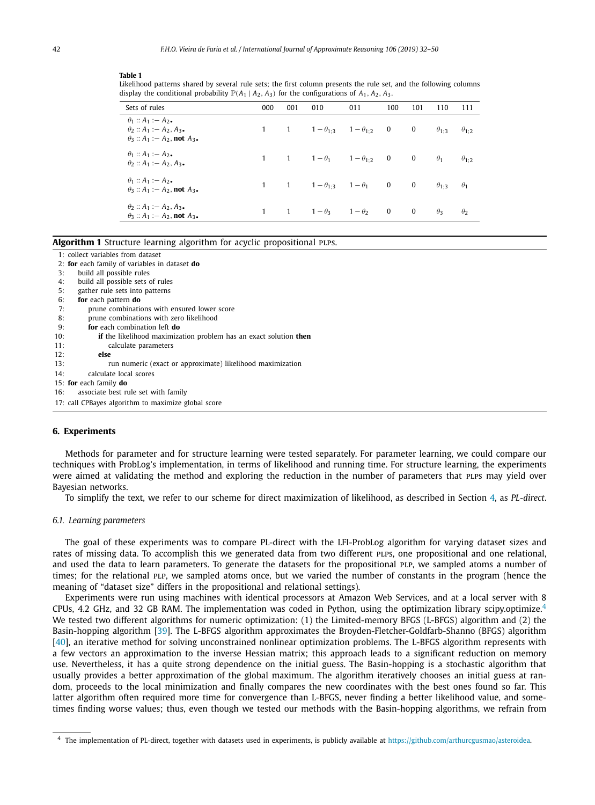#### <span id="page-10-0"></span>**Table 1**

Likelihood patterns shared by several rule sets; the first column presents the rule set, and the following columns display the conditional probability  $\mathbb{P}(A_1 | A_2, A_3)$  for the configurations of  $A_1, A_2, A_3$ .

| Sets of rules                                                                                                             | 000          | 001            | 010                                         | 011                                     | 100 | 101                     | 110            | 111            |
|---------------------------------------------------------------------------------------------------------------------------|--------------|----------------|---------------------------------------------|-----------------------------------------|-----|-------------------------|----------------|----------------|
| $\theta_1$ :: $A_1$ : - $A_2$ .<br>$\theta_2$ :: $A_1$ : - $A_2$ , $A_3$ .<br>$\theta_3$ :: $A_1$ : - $A_2$ , not $A_3$ . | $\mathbf{1}$ | $\overline{1}$ |                                             | $1 - \theta_{1:3}$ $1 - \theta_{1:2}$ 0 |     | $\bf{0}$                | $\theta_{1:3}$ | $\theta_{1:2}$ |
| $\theta_1$ :: $A_1$ : - $A_2$ .<br>$\theta_2$ :: $A_1$ : - $A_2$ , $A_3$ .                                                | $\mathbf{1}$ |                | 1 $1 - \theta_1$ $1 - \theta_{1 \cdot 2}$ 0 |                                         |     | $\overline{\mathbf{0}}$ | $\theta_1$     | $\theta_{1:2}$ |
| $\theta_1 :: A_1 := A_2$ .<br>$\theta_3$ :: $A_1$ : - $A_2$ , not $A_3$ .                                                 | $\mathbf{1}$ | $\sim$ 1       |                                             | $1 - \theta_{1:3}$ $1 - \theta_1$ 0     |     | $\overline{\mathbf{0}}$ | $\theta_{1:3}$ | $\theta_1$     |
| $\theta_2 :: A_1 := A_2, A_3$ .<br>$\theta_3$ :: $A_1$ : - $A_2$ , not $A_3$ .                                            | $\mathbf{1}$ | $\mathbf{1}$   | $1-\theta_3$                                | $1-\theta_2$ 0                          |     | $\mathbf{0}$            | $\theta_3$     | $\theta_2$     |

#### **Algorithm 1** Structure learning algorithm for acyclic propositional plps.

1: collect variables from dataset

- 2: **for** each family of variables in dataset **do**
- build all possible rules
- 4: build all possible sets of rules
- 5: gather rule sets into patterns
- 6: **for** each pattern **do**
- 7: prune combinations with ensured lower score
- 8: prune combinations with zero likelihood
- 9: **for** each combination left **do**
- if the likelihood maximization problem has an exact solution then
- 11: calculate parameters
- 12: **else**
- run numeric (exact or approximate) likelihood maximization
- 14: calculate local scores
- 15: **for** each family **do**
- 16: associate best rule set with family
- 17: call CPBayes algorithm to maximize global score

# **6. Experiments**

Methods for parameter and for structure learning were tested separately. For parameter learning, we could compare our techniques with ProbLog's implementation, in terms of likelihood and running time. For structure learning, the experiments were aimed at validating the method and exploring the reduction in the number of parameters that plps may vield over Bayesian networks.

To simplify the text, we refer to our scheme for direct maximization of likelihood, as described in Section [4,](#page-4-0) as *PL-direct*.

#### *6.1. Learning parameters*

The goal of these experiments was to compare PL-direct with the LFI-ProbLog algorithm for varying dataset sizes and rates of missing data. To accomplish this we generated data from two different PLPs, one propositional and one relational, and used the data to learn parameters. To generate the datasets for the propositional PLP, we sampled atoms a number of times; for the relational PLP, we sampled atoms once, but we varied the number of constants in the program (hence the meaning of "dataset size" differs in the propositional and relational settings).

Experiments were run using machines with identical processors at Amazon Web Services, and at a local server with 8 CPUs, 4.2 GHz, and 32 GB RAM. The implementation was coded in Python, using the optimization library scipy.optimize. $4$ We tested two different algorithms for numeric optimization: (1) the Limited-memory BFGS (L-BFGS) algorithm and (2) the Basin-hopping algorithm [\[39\]](#page-18-0). The L-BFGS algorithm approximates the Broyden-Fletcher-Goldfarb-Shanno (BFGS) algorithm [\[40\]](#page-18-0), an iterative method for solving unconstrained nonlinear optimization problems. The L-BFGS algorithm represents with a few vectors an approximation to the inverse Hessian matrix; this approach leads to a significant reduction on memory use. Nevertheless, it has a quite strong dependence on the initial guess. The Basin-hopping is a stochastic algorithm that usually provides a better approximation of the global maximum. The algorithm iteratively chooses an initial guess at random, proceeds to the local minimization and finally compares the new coordinates with the best ones found so far. This latter algorithm often required more time for convergence than L-BFGS, never finding a better likelihood value, and sometimes finding worse values; thus, even though we tested our methods with the Basin-hopping algorithms, we refrain from

<sup>4</sup> The implementation of PL-direct, together with datasets used in experiments, is publicly available at [https://github.com/arthurcgusmao/asteroidea.](https://github.com/arthurcgusmao/asteroidea)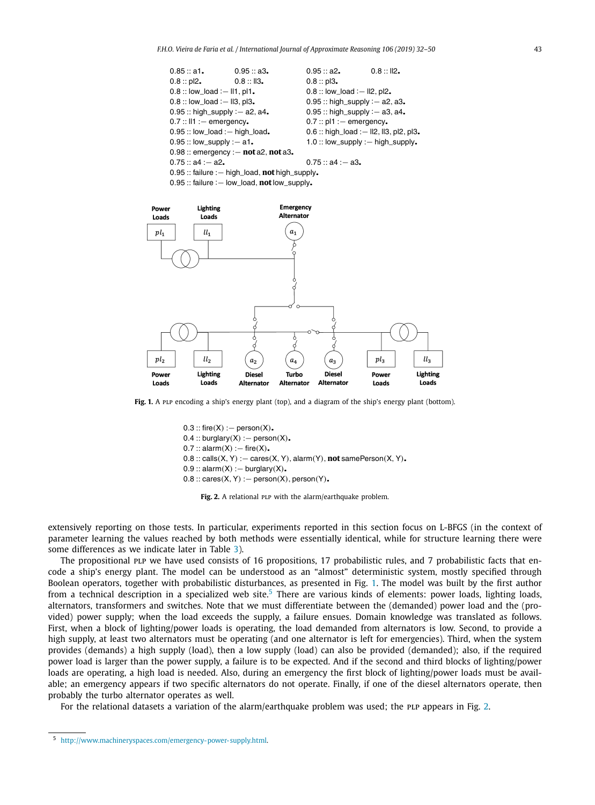



Fig. 1. A PLP encoding a ship's energy plant (top), and a diagram of the ship's energy plant (bottom).

 $0.3$  :: fire $(X)$  : − person $(X)$ .  $0.4$  :: burglary $(X)$  : – person $(X)$ . *.*7 :: alarm*(*X*)* :− fire*(*X*)***.** *.*8 :: calls*(*X*,*Y*)* :− cares*(*X*,*Y*),* alarm*(*Y*),***not** samePerson*(*X*,*Y*)***.** *.*9 :: alarm*(*X*)* :− burglary*(*X*)***.** *.*8 :: cares*(*X*,*Y*)* :− person*(*X*),* person*(*Y*)***.**

Fig. 2. A relational PLP with the alarm/earthquake problem.

extensively reporting on those tests. In particular, experiments reported in this section focus on L-BFGS (in the context of parameter learning the values reached by both methods were essentially identical, while for structure learning there were some differences as we indicate later in Table [3\)](#page-14-0).

The propositional PLP we have used consists of 16 propositions, 17 probabilistic rules, and 7 probabilistic facts that encode a ship's energy plant. The model can be understood as an "almost" deterministic system, mostly specified through Boolean operators, together with probabilistic disturbances, as presented in Fig. 1. The model was built by the first author from a technical description in a specialized web site.<sup>5</sup> There are various kinds of elements: power loads, lighting loads, alternators, transformers and switches. Note that we must differentiate between the (demanded) power load and the (provided) power supply; when the load exceeds the supply, a failure ensues. Domain knowledge was translated as follows. First, when a block of lighting/power loads is operating, the load demanded from alternators is low. Second, to provide a high supply, at least two alternators must be operating (and one alternator is left for emergencies). Third, when the system provides (demands) a high supply (load), then a low supply (load) can also be provided (demanded); also, if the required power load is larger than the power supply, a failure is to be expected. And if the second and third blocks of lighting/power loads are operating, a high load is needed. Also, during an emergency the first block of lighting/power loads must be available; an emergency appears if two specific alternators do not operate. Finally, if one of the diesel alternators operate, then probably the turbo alternator operates as well.

For the relational datasets a variation of the alarm/earthquake problem was used; the PLP appears in Fig. 2.

<sup>5</sup> <http://www.machineryspaces.com/emergency-power-supply.html>.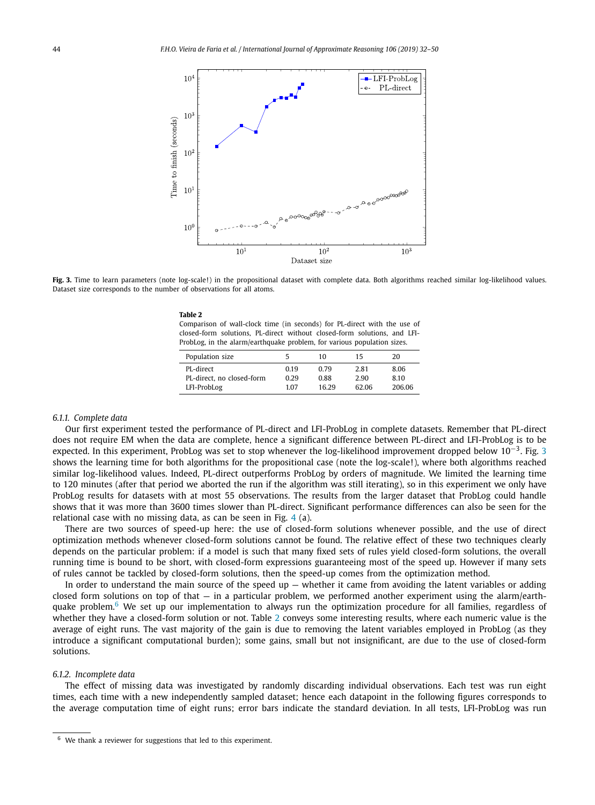

Fig. 3. Time to learn parameters (note log-scale!) in the propositional dataset with complete data. Both algorithms reached similar log-likelihood values. Dataset size corresponds to the number of observations for all atoms.

| Table 2                                                                  |
|--------------------------------------------------------------------------|
| Comparison of wall-clock time (in seconds) for PL-direct with the use of |
| closed-form solutions. PL-direct without closed-form solutions, and LFI- |
| ProbLog, in the alarm/earthquake problem, for various population sizes.  |

| Population size           |      | 10   | 15    | 20     |
|---------------------------|------|------|-------|--------|
| PL-direct                 | 0.19 | 0.79 | 2.81  | 8.06   |
| PL-direct, no closed-form | 0.29 | 0.88 | 2.90  | 8.10   |
| LFI-ProbLog               | 1.07 | 1629 | 62.06 | 206.06 |

### *6.1.1. Complete data*

Our first experiment tested the performance of PL-direct and LFI-ProbLog in complete datasets. Remember that PL-direct does not require EM when the data are complete, hence a significant difference between PL-direct and LFI-ProbLog is to be expected. In this experiment, ProbLog was set to stop whenever the log-likelihood improvement dropped below 10<sup>-3</sup>. Fig. 3 shows the learning time for both algorithms for the propositional case (note the log-scale!), where both algorithms reached similar log-likelihood values. Indeed, PL-direct outperforms ProbLog by orders of magnitude. We limited the learning time to 120 minutes (after that period we aborted the run if the algorithm was still iterating), so in this experiment we only have ProbLog results for datasets with at most 55 observations. The results from the larger dataset that ProbLog could handle shows that it was more than 3600 times slower than PL-direct. Significant performance differences can also be seen for the relational case with no missing data, as can be seen in Fig. [4](#page-13-0) (a).

There are two sources of speed-up here: the use of closed-form solutions whenever possible, and the use of direct optimization methods whenever closed-form solutions cannot be found. The relative effect of these two techniques clearly depends on the particular problem: if a model is such that many fixed sets of rules yield closed-form solutions, the overall running time is bound to be short, with closed-form expressions guaranteeing most of the speed up. However if many sets of rules cannot be tackled by closed-form solutions, then the speed-up comes from the optimization method.

In order to understand the main source of the speed up  $-$  whether it came from avoiding the latent variables or adding closed form solutions on top of that  $-$  in a particular problem, we performed another experiment using the alarm/earthquake problem.<sup>6</sup> We set up our implementation to always run the optimization procedure for all families, regardless of whether they have a closed-form solution or not. Table 2 conveys some interesting results, where each numeric value is the average of eight runs. The vast majority of the gain is due to removing the latent variables employed in ProbLog (as they introduce a significant computational burden); some gains, small but not insignificant, are due to the use of closed-form solutions.

#### *6.1.2. Incomplete data*

The effect of missing data was investigated by randomly discarding individual observations. Each test was run eight times, each time with a new independently sampled dataset; hence each datapoint in the following figures corresponds to the average computation time of eight runs; error bars indicate the standard deviation. In all tests, LFI-ProbLog was run

<sup>6</sup> We thank a reviewer for suggestions that led to this experiment.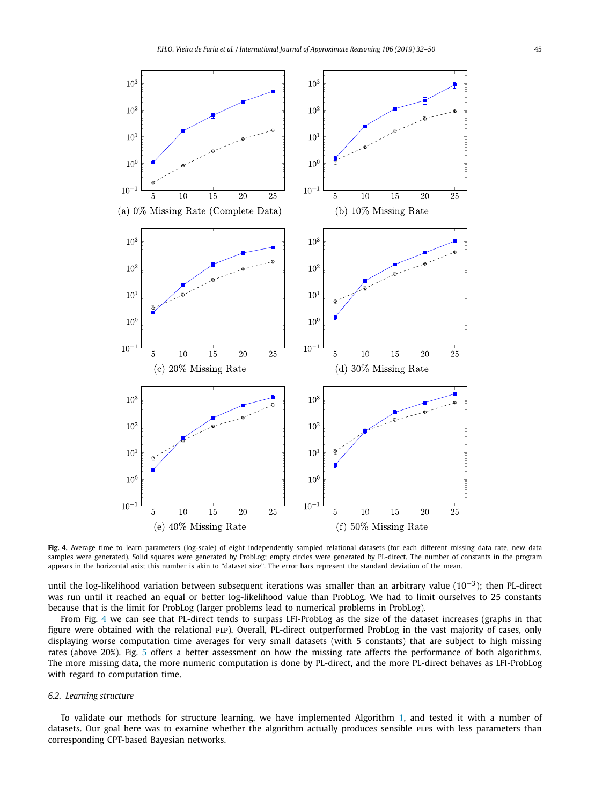<span id="page-13-0"></span>

Fig. 4. Average time to learn parameters (log-scale) of eight independently sampled relational datasets (for each different missing data rate, new data samples were generated). Solid squares were generated by ProbLog; empty circles were generated by PL-direct. The number of constants in the program appears in the horizontal axis; this number is akin to "dataset size". The error bars represent the standard deviation of the mean.

until the log-likelihood variation between subsequent iterations was smaller than an arbitrary value ( $10^{-3}$ ); then PL-direct was run until it reached an equal or better log-likelihood value than ProbLog. We had to limit ourselves to 25 constants because that is the limit for ProbLog (larger problems lead to numerical problems in ProbLog).

From Fig. 4 we can see that PL-direct tends to surpass LFI-ProbLog as the size of the dataset increases (graphs in that figure were obtained with the relational PLP). Overall, PL-direct outperformed ProbLog in the vast majority of cases, only displaying worse computation time averages for very small datasets (with 5 constants) that are subject to high missing rates (above 20%). Fig. [5](#page-14-0) offers a better assessment on how the missing rate affects the performance of both algorithms. The more missing data, the more numeric computation is done by PL-direct, and the more PL-direct behaves as LFI-ProbLog with regard to computation time.

# *6.2. Learning structure*

To validate our methods for structure learning, we have implemented Algorithm [1,](#page-10-0) and tested it with a number of datasets. Our goal here was to examine whether the algorithm actually produces sensible PLPs with less parameters than corresponding CPT-based Bayesian networks.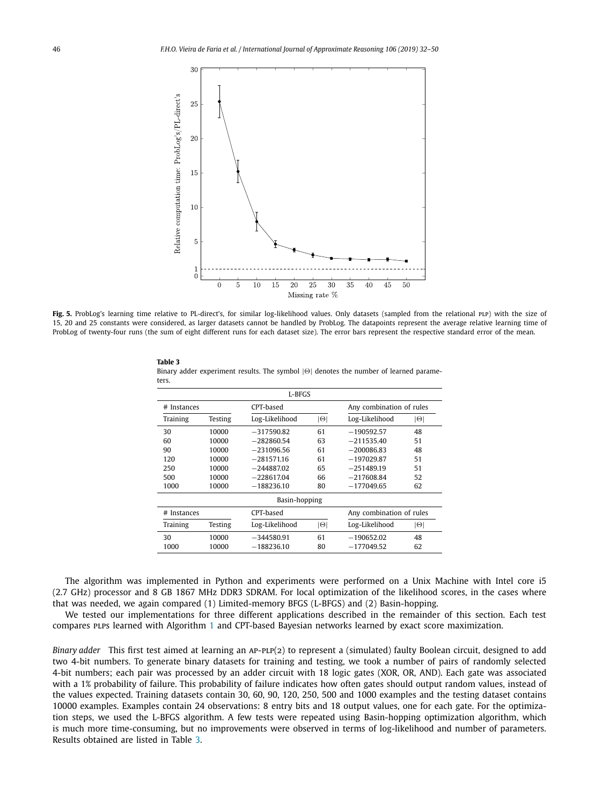<span id="page-14-0"></span>

Fig. 5. ProbLog's learning time relative to PL-direct's, for similar log-likelihood values. Only datasets (sampled from the relational PLP) with the size of 15, 20 and 25 constants were considered, as larger datasets cannot be handled by ProbLog. The datapoints represent the average relative learning time of ProbLog of twenty-four runs (the sum of eight different runs for each dataset size). The error bars represent the respective standard error of the mean.

|             |           | L-BFGS         |                          |                          |            |
|-------------|-----------|----------------|--------------------------|--------------------------|------------|
| # Instances | CPT-based |                | Any combination of rules |                          |            |
| Training    | Testing   | Log-Likelihood | $ \Theta $               | Log-Likelihood           | $ \Theta $ |
| 30          | 10000     | $-317590.82$   | 61                       | $-190592.57$             | 48         |
| 60          | 10000     | $-282860.54$   | 63                       | $-211535.40$             | 51         |
| 90          | 10000     | $-231096.56$   | 61                       | $-200086.83$             | 48         |
| 120         | 10000     | $-281571.16$   | 61                       | $-197029.87$             | 51         |
| 250         | 10000     | $-244887.02$   | 65                       | $-251489.19$             | 51         |
| 500         | 10000     | $-228617.04$   | 66                       | $-217608.84$             | 52         |
| 1000        | 10000     | $-188236.10$   | 80                       | $-177049.65$             | 62         |
|             |           | Basin-hopping  |                          |                          |            |
| # Instances |           | CPT-based      |                          | Any combination of rules |            |
| Training    | Testing   | Log-Likelihood | $ \Theta $               | Log-Likelihood           | $ \Theta $ |
| 30          | 10000     | $-344580.91$   | 61                       | $-190652.02$             | 48         |
| 1000        | 10000     | $-188236.10$   | 80                       | $-177049.52$             | 62         |

**Table 3** Binary adder experiment results. The symbol  $|\Theta|$  denotes the number of learned parameters.

The algorithm was implemented in Python and experiments were performed on a Unix Machine with Intel core i5 (2.7 GHz) processor and 8 GB 1867 MHz DDR3 SDRAM. For local optimization of the likelihood scores, in the cases where that was needed, we again compared (1) Limited-memory BFGS (L-BFGS) and (2) Basin-hopping.

We tested our implementations for three different applications described in the remainder of this section. Each test compares plps learned with Algorithm [1](#page-10-0) and CPT-based Bayesian networks learned by exact score maximization.

*Binary adder* This first test aimed at learning an AP-PLP(2) to represent a (simulated) faulty Boolean circuit, designed to add two 4-bit numbers. To generate binary datasets for training and testing, we took a number of pairs of randomly selected 4-bit numbers; each pair was processed by an adder circuit with 18 logic gates (XOR, OR, AND). Each gate was associated with a 1% probability of failure. This probability of failure indicates how often gates should output random values, instead of the values expected. Training datasets contain 30, 60, 90, 120, 250, 500 and 1000 examples and the testing dataset contains 10000 examples. Examples contain 24 observations: 8 entry bits and 18 output values, one for each gate. For the optimization steps, we used the L-BFGS algorithm. A few tests were repeated using Basin-hopping optimization algorithm, which is much more time-consuming, but no improvements were observed in terms of log-likelihood and number of parameters. Results obtained are listed in Table 3.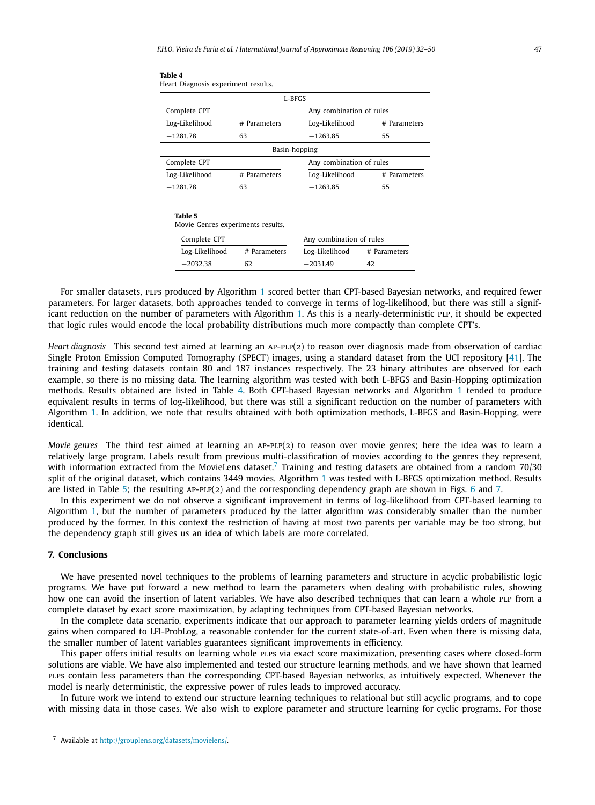| L-BFGS         |               |                          |              |  |
|----------------|---------------|--------------------------|--------------|--|
| Complete CPT   |               | Any combination of rules |              |  |
| Log-Likelihood | # Parameters  | Log-Likelihood           | # Parameters |  |
| $-1281.78$     | 63            | $-1263.85$               | 55           |  |
|                | Basin-hopping |                          |              |  |
| Complete CPT   |               | Any combination of rules |              |  |
| Log-Likelihood | # Parameters  | Log-Likelihood           | # Parameters |  |
| $-1281.78$     | 63            | $-1263.85$               | 55           |  |

| 1avit 7 |                                     |  |
|---------|-------------------------------------|--|
|         | Heart Diagnosis experiment results. |  |

**Table 4**

**Table 5**

| Complete CPT   |              | Ally complitation of rules |              |
|----------------|--------------|----------------------------|--------------|
| Log-Likelihood | # Parameters | Log-Likelihood             | # Parameters |
| $-1281.78$     | 63           | $-1263.85$                 | 55           |
|                |              | Basin-hopping              |              |
| Complete CPT   |              | Any combination of rules   |              |
| Log-Likelihood | # Parameters | Log-Likelihood             | # Parameters |
| $-1281.78$     | 63           | $-1263.85$                 | 55           |
|                |              |                            |              |
|                |              |                            |              |

| Movie Genres experiments results. |              |                          |              |  |
|-----------------------------------|--------------|--------------------------|--------------|--|
| Complete CPT                      |              | Any combination of rules |              |  |
| Log-Likelihood                    | # Parameters | Log-Likelihood           | # Parameters |  |
| $-2032.38$                        | 62           | $-2031.49$               | 42           |  |

For smaller datasets, plps produced by Algorithm [1](#page-10-0) scored better than CPT-based Bayesian networks, and required fewer parameters. For larger datasets, both approaches tended to converge in terms of log-likelihood, but there was still a signif-icant reduction on the number of parameters with Algorithm [1.](#page-10-0) As this is a nearly-deterministic PLP, it should be expected that logic rules would encode the local probability distributions much more compactly than complete CPT's.

*Heart diagnosis* This second test aimed at learning an AP-PLP(2) to reason over diagnosis made from observation of cardiac Single Proton Emission Computed Tomography (SPECT) images, using a standard dataset from the UCI repository [\[41\]](#page-18-0). The training and testing datasets contain 80 and 187 instances respectively. The 23 binary attributes are observed for each example, so there is no missing data. The learning algorithm was tested with both L-BFGS and Basin-Hopping optimization methods. Results obtained are listed in Table 4. Both CPT-based Bayesian networks and Algorithm [1](#page-10-0) tended to produce equivalent results in terms of log-likelihood, but there was still a significant reduction on the number of parameters with Algorithm [1.](#page-10-0) In addition, we note that results obtained with both optimization methods, L-BFGS and Basin-Hopping, were identical.

*Movie* genres The third test aimed at learning an AP-PLP(2) to reason over movie genres; here the idea was to learn a relatively large program. Labels result from previous multi-classification of movies according to the genres they represent, with information extracted from the MovieLens dataset.<sup>7</sup> Training and testing datasets are obtained from a random 70/30 split of the original dataset, which contains 3449 movies. Algorithm [1](#page-10-0) was tested with L-BFGS optimization method. Results are listed in Table 5; the resulting  $AP-PLP(2)$  and the corresponding dependency graph are shown in Figs. [6](#page-16-0) and [7.](#page-16-0)

In this experiment we do not observe a significant improvement in terms of log-likelihood from CPT-based learning to Algorithm [1,](#page-10-0) but the number of parameters produced by the latter algorithm was considerably smaller than the number produced by the former. In this context the restriction of having at most two parents per variable may be too strong, but the dependency graph still gives us an idea of which labels are more correlated.

# **7. Conclusions**

We have presented novel techniques to the problems of learning parameters and structure in acyclic probabilistic logic programs. We have put forward a new method to learn the parameters when dealing with probabilistic rules, showing how one can avoid the insertion of latent variables. We have also described techniques that can learn a whole PLP from a complete dataset by exact score maximization, by adapting techniques from CPT-based Bayesian networks.

In the complete data scenario, experiments indicate that our approach to parameter learning yields orders of magnitude gains when compared to LFI-ProbLog, a reasonable contender for the current state-of-art. Even when there is missing data, the smaller number of latent variables guarantees significant improvements in efficiency.

This paper offers initial results on learning whole plps via exact score maximization, presenting cases where closed-form solutions are viable. We have also implemented and tested our structure learning methods, and we have shown that learned plps contain less parameters than the corresponding CPT-based Bayesian networks, as intuitively expected. Whenever the model is nearly deterministic, the expressive power of rules leads to improved accuracy.

In future work we intend to extend our structure learning techniques to relational but still acyclic programs, and to cope with missing data in those cases. We also wish to explore parameter and structure learning for cyclic programs. For those

<sup>7</sup> Available at [http://grouplens.org/datasets/movielens/.](http://grouplens.org/datasets/movielens/)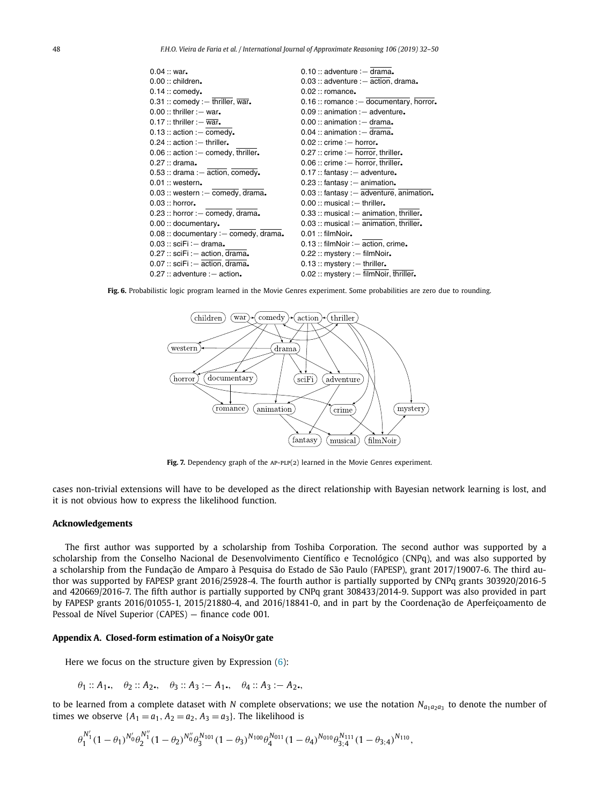<span id="page-16-0"></span>

| $0.04::$ war.                                            | 0.10: adventure : - drama.                   |
|----------------------------------------------------------|----------------------------------------------|
| $0.00::$ children.                                       | $0.03$ :: adventure : $-$ action, drama.     |
| 0.14::comedy.                                            | $0.02::$ romance.                            |
| $0.31$ :: comedy : - thriller, $\overline{\text{war}}$ . | 0.16 :: romance : - documentary, horror.     |
| $0.00::$ thriller : $-$ war.                             | $0.09$ :: animation : $-$ adventure.         |
| $0.17::$ thriller : $-\overline{war}$ .                  | $0.00$ : animation : $-$ drama.              |
| $0.13::action := compact$                                | $0.04$ : animation : $-$ drama.              |
| $0.24$ :: action : $-$ thriller.                         | $0.02::$ crime : $-$ horror.                 |
| $0.06$ :: action : $-$ comedy, thriller.                 | 0.27 :: crime : - horror, thriller.          |
| $0.27::$ drama.                                          | $0.06::$ crime : $-$ horror, thriller.       |
| $0.53$ : drama: $-$ action, comedy.                      | $0.17$ : fantasy : $-$ adventure.            |
| $0.01::$ western.                                        | $0.23$ : fantasy : - animation.              |
| $0.03$ :: western : $-$ comedy, drama.                   | $0.03$ : fantasy : - adventure, animation.   |
| $0.03::$ horror.                                         | $0.00::$ musical : $-$ thriller.             |
| $0.23$ : horror: $-$ comedy, drama.                      | $0.33$ :: musical : $-$ animation, thriller. |
| 0.00::documentary.                                       | $0.03$ : musical : - animation, thriller.    |
| $0.08::$ documentary : $-$ comedy, drama.                | $0.01$ :: filmNoir.                          |
| $0.03$ :: sciFi: - drama.                                | $0.13$ :: filmNoir : $-$ action, crime.      |
| $0.27::$ sciFi : $-$ action, drama.                      | $0.22$ : mystery : - filmNoir.               |
| 0.07 :: sciFi : - action, drama.                         | $0.13::$ mystery : $-$ thriller.             |
| $0.27$ : adventure : $-$ action.                         | 0.02 :: mystery : - filmNoir, thriller.      |

Fig. 6. Probabilistic logic program learned in the Movie Genres experiment. Some probabilities are zero due to rounding.



Fig. 7. Dependency graph of the AP-PLP(2) learned in the Movie Genres experiment.

cases non-trivial extensions will have to be developed as the direct relationship with Bayesian network learning is lost, and it is not obvious how to express the likelihood function.

# **Acknowledgements**

The first author was supported by a scholarship from Toshiba Corporation. The second author was supported by a scholarship from the Conselho Nacional de Desenvolvimento Científico e Tecnológico (CNPq), and was also supported by a scholarship from the Fundação de Amparo à Pesquisa do Estado de São Paulo (FAPESP), grant 2017/19007-6. The third author was supported by FAPESP grant 2016/25928-4. The fourth author is partially supported by CNPq grants 303920/2016-5 and 420669/2016-7. The fifth author is partially supported by CNPq grant 308433/2014-9. Support was also provided in part by FAPESP grants 2016/01055-1, 2015/21880-4, and 2016/18841-0, and in part by the Coordenação de Aperfeiçoamento de Pessoal de Nível Superior (CAPES) — finance code 001.

# **Appendix A. Closed-form estimation of a NoisyOr gate**

Here we focus on the structure given by Expression [\(6\)](#page-5-0):

$$
\theta_1 :: A_1
$$
,  $\theta_2 :: A_2$ ,  $\theta_3 :: A_3 := A_1$ ,  $\theta_4 :: A_3 := A_2$ ,

to be learned from a complete dataset with *N* complete observations; we use the notation  $N_{a_1a_2a_3}$  to denote the number of times we observe  $\{A_1 = a_1, A_2 = a_2, A_3 = a_3\}$ . The likelihood is

$$
\theta_1^{N'_1}(1-\theta_1)^{N'_0}\theta_2^{N''_1}(1-\theta_2)^{N''_0}\theta_3^{N_{101}}(1-\theta_3)^{N_{100}}\theta_4^{N_{011}}(1-\theta_4)^{N_{010}}\theta_{3;4}^{N_{111}}(1-\theta_{3;4})^{N_{110}},
$$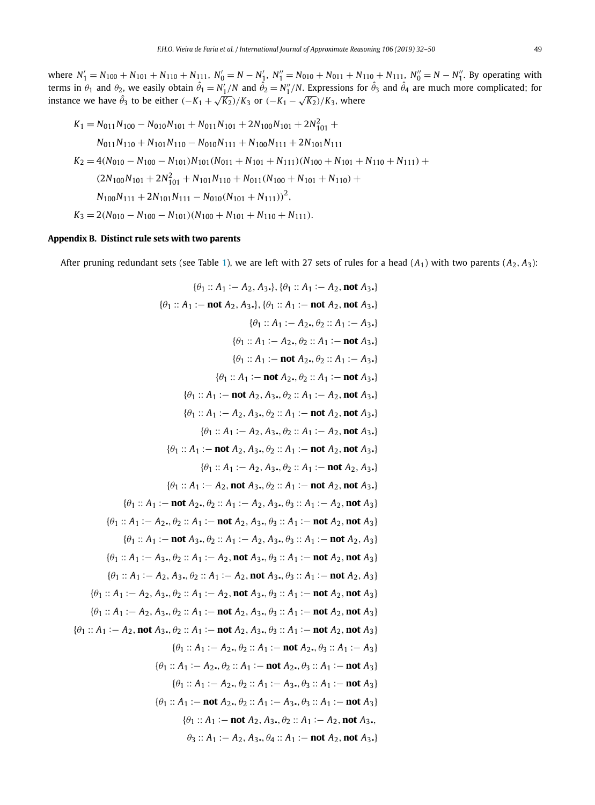<span id="page-17-0"></span>where  $N'_1 = N_{100} + N_{101} + N_{110} + N_{111}$ ,  $N'_0 = N - N'_1$ ,  $N''_1 = N_{010} + N_{011} + N_{110} + N_{111}$ ,  $N''_0 = N - N''_1$ . By operating with terms in  $\theta_1$  and  $\theta_2$ , we easily obtain  $\hat{\theta}_1 = N'_1/N$  and  $\hat{\theta}_2 = N''_1/N$ . Expressions for  $\hat{\theta}_3$  and  $\hat{\theta}_4$  are much more complicated; for instance we have  $\hat{\theta}_3$  to be either  $(-K_1 + \sqrt{K_2})/K_3$  or  $(-K_1 - \sqrt{K_2})/K_3$ , where

$$
K_1 = N_{011}N_{100} - N_{010}N_{101} + N_{011}N_{101} + 2N_{100}N_{101} + 2N_{101}^2 +
$$
  
\n
$$
N_{011}N_{110} + N_{101}N_{110} - N_{010}N_{111} + N_{100}N_{111} + 2N_{101}N_{111}
$$
  
\n
$$
K_2 = 4(N_{010} - N_{100} - N_{101})N_{101}(N_{011} + N_{101} + N_{111})(N_{100} + N_{101} + N_{110} + N_{111}) +
$$
  
\n
$$
(2N_{100}N_{101} + 2N_{101}^2 + N_{101}N_{110} + N_{011}(N_{100} + N_{101} + N_{110}) +
$$
  
\n
$$
N_{100}N_{111} + 2N_{101}N_{111} - N_{010}(N_{101} + N_{111}))^2,
$$
  
\n
$$
K_3 = 2(N_{010} - N_{100} - N_{101})(N_{100} + N_{101} + N_{110} + N_{111}).
$$

# **Appendix B. Distinct rule sets with two parents**

After pruning redundant sets (see Table [1\)](#page-10-0), we are left with 27 sets of rules for a head  $(A_1)$  with two parents  $(A_2, A_3)$ :

$$
\{\theta_1 :: A_1 := A_2, A_3, \}, \{\theta_1 :: A_1 := A_2, \text{not } A_3, \}
$$
\n
$$
\{\theta_1 :: A_1 := \text{not } A_2, A_3, \}, \{\theta_1 :: A_1 := \text{not } A_2, \text{not } A_3, \}
$$
\n
$$
\{\theta_1 :: A_1 := A_2, \theta_2 :: A_1 := A_3, \}
$$
\n
$$
\{\theta_1 :: A_1 := A_2, \theta_2 :: A_1 := \text{not } A_3, \}
$$
\n
$$
\{\theta_1 :: A_1 := \text{not } A_2, \theta_2 :: A_1 := \text{not } A_3, \}
$$
\n
$$
\{\theta_1 :: A_1 := \text{not } A_2, \theta_2 :: A_1 := \text{not } A_3, \}
$$
\n
$$
\{\theta_1 :: A_1 := \text{not } A_2, A_3, \theta_2 :: A_1 := \text{not } A_2, \text{not } A_3, \}
$$
\n
$$
\{\theta_1 :: A_1 := A_2, A_3, \theta_2 :: A_1 := \text{not } A_2, \text{not } A_3, \}
$$
\n
$$
\{\theta_1 :: A_1 := A_2, A_3, \theta_2 :: A_1 := \text{not } A_2, \text{not } A_3, \}
$$
\n
$$
\{\theta_1 :: A_1 := \text{not } A_2, A_3, \theta_2 :: A_1 := \text{not } A_2, \text{not } A_3, \}
$$
\n
$$
\{\theta_1 :: A_1 := \text{not } A_2, A_3, \theta_2 :: A_1 := \text{not } A_2, \text{not } A_3, \}
$$
\n
$$
\{\theta_1 :: A_1 := \text{not } A_2, \text{not } A_3, \theta_2 :: A_1 := \text{not } A_2, \text{not } A_3, \}
$$
\n
$$
\{\theta_1 :: A_1 := \text{not } A_2, \theta_2 :: A_1 := A_2, A_3, \theta_2 :: A_1 := \text{not } A_2, \text{not } A_3 \}
$$
\n
$$
\{\theta_1 :: A_1 := \text{not } A_2, \theta_2 :: A_1 := A_2, A_3, \theta_3 :: A_1
$$